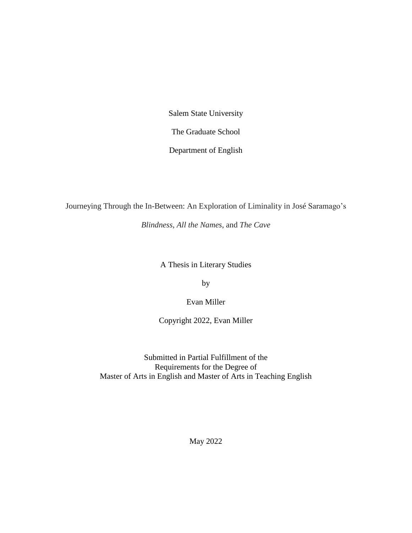Salem State University

The Graduate School

Department of English

Journeying Through the In-Between: An Exploration of Liminality in José Saramago's

*Blindness*, *All the Names*, and *The Cave*

A Thesis in Literary Studies

by

Evan Miller

Copyright 2022, Evan Miller

Submitted in Partial Fulfillment of the Requirements for the Degree of Master of Arts in English and Master of Arts in Teaching English

May 2022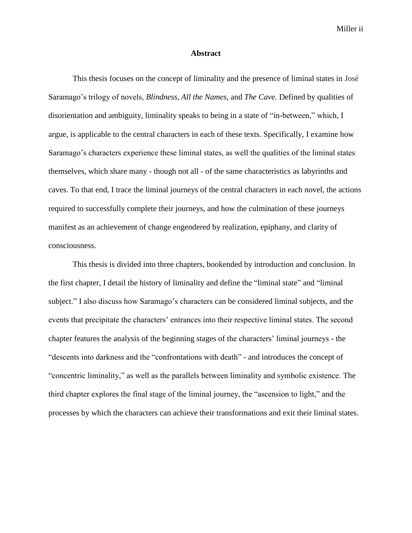Miller ii

## **Abstract**

<span id="page-1-0"></span>This thesis focuses on the concept of liminality and the presence of liminal states in José Saramago's trilogy of novels, *Blindness, All the Names,* and *The Cave.* Defined by qualities of disorientation and ambiguity, liminality speaks to being in a state of "in-between," which, I argue, is applicable to the central characters in each of these texts. Specifically, I examine how Saramago's characters experience these liminal states, as well the qualities of the liminal states themselves, which share many - though not all - of the same characteristics as labyrinths and caves. To that end, I trace the liminal journeys of the central characters in each novel, the actions required to successfully complete their journeys, and how the culmination of these journeys manifest as an achievement of change engendered by realization, epiphany, and clarity of consciousness.

This thesis is divided into three chapters, bookended by introduction and conclusion. In the first chapter, I detail the history of liminality and define the "liminal state" and "liminal subject." I also discuss how Saramago's characters can be considered liminal subjects, and the events that precipitate the characters' entrances into their respective liminal states. The second chapter features the analysis of the beginning stages of the characters' liminal journeys - the "descents into darkness and the "confrontations with death" - and introduces the concept of "concentric liminality," as well as the parallels between liminality and symbolic existence. The third chapter explores the final stage of the liminal journey, the "ascension to light," and the processes by which the characters can achieve their transformations and exit their liminal states.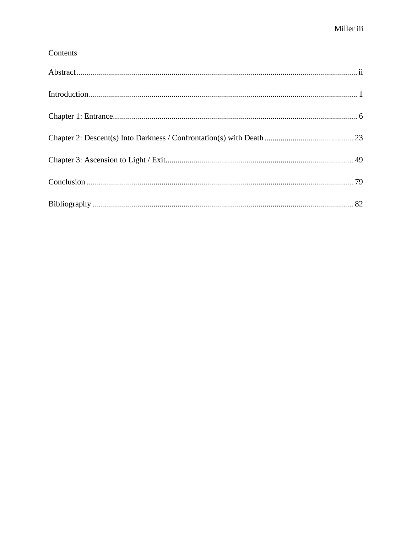# Contents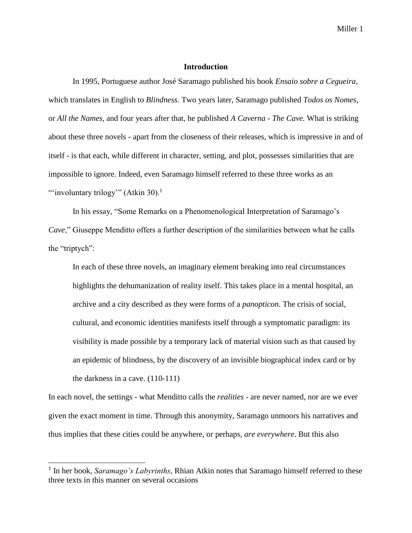# **Introduction**

<span id="page-3-0"></span>In 1995, Portuguese author José Saramago published his book *Ensaio sobre a Cegueira*, which translates in English to *Blindness*. Two years later, Saramago published *Todos os Nomes*, or *All the Names*, and four years after that, he published *A Caverna - The Cave.* What is striking about these three novels - apart from the closeness of their releases, which is impressive in and of itself - is that each, while different in character, setting, and plot, possesses similarities that are impossible to ignore. Indeed, even Saramago himself referred to these three works as an "'involuntary trilogy"" (Atkin 30). $<sup>1</sup>$ </sup>

In his essay, "Some Remarks on a Phenomenological Interpretation of Saramago's *Cave*," Giuseppe Menditto offers a further description of the similarities between what he calls the "triptych":

In each of these three novels, an imaginary element breaking into real circumstances highlights the dehumanization of reality itself. This takes place in a mental hospital, an archive and a city described as they were forms of a *panopticon*. The crisis of social, cultural, and economic identities manifests itself through a symptomatic paradigm: its visibility is made possible by a temporary lack of material vision such as that caused by an epidemic of blindness, by the discovery of an invisible biographical index card or by the darkness in a cave. (110-111)

In each novel, the settings - what Menditto calls the *realities* - are never named, nor are we ever given the exact moment in time. Through this anonymity, Saramago unmoors his narratives and thus implies that these cities could be anywhere, or perhaps, *are everywhere*. But this also

<sup>&</sup>lt;sup>1</sup> In her book, *Saramago's Labyrinths*, Rhian Atkin notes that Saramago himself referred to these three texts in this manner on several occasions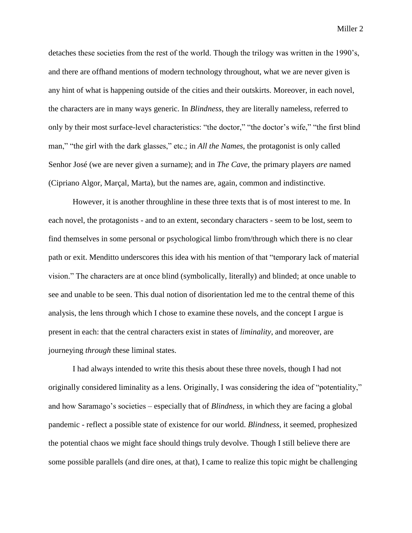detaches these societies from the rest of the world. Though the trilogy was written in the 1990's, and there are offhand mentions of modern technology throughout, what we are never given is any hint of what is happening outside of the cities and their outskirts. Moreover, in each novel, the characters are in many ways generic. In *Blindness,* they are literally nameless, referred to only by their most surface-level characteristics: "the doctor," "the doctor's wife," "the first blind man," "the girl with the dark glasses," etc.; in *All the Names*, the protagonist is only called Senhor José (we are never given a surname); and in *The Cave*, the primary players *are* named (Cipriano Algor, Marçal, Marta), but the names are, again, common and indistinctive.

However, it is another throughline in these three texts that is of most interest to me. In each novel, the protagonists - and to an extent, secondary characters - seem to be lost, seem to find themselves in some personal or psychological limbo from/through which there is no clear path or exit. Menditto underscores this idea with his mention of that "temporary lack of material vision." The characters are at once blind (symbolically, literally) and blinded; at once unable to see and unable to be seen. This dual notion of disorientation led me to the central theme of this analysis, the lens through which I chose to examine these novels, and the concept I argue is present in each: that the central characters exist in states of *liminality*, and moreover, are journeying *through* these liminal states.

I had always intended to write this thesis about these three novels, though I had not originally considered liminality as a lens. Originally, I was considering the idea of "potentiality," and how Saramago's societies – especially that of *Blindness*, in which they are facing a global pandemic - reflect a possible state of existence for our world. *Blindness*, it seemed, prophesized the potential chaos we might face should things truly devolve. Though I still believe there are some possible parallels (and dire ones, at that), I came to realize this topic might be challenging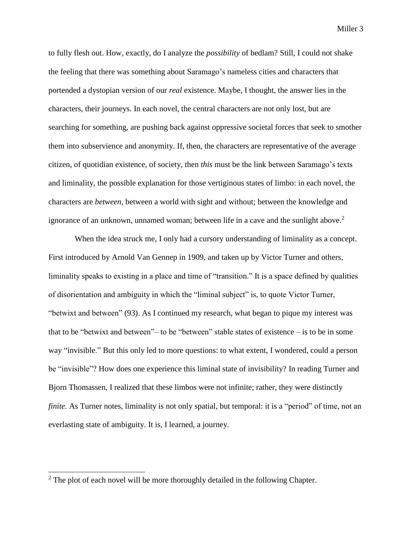to fully flesh out. How, exactly, do I analyze the *possibility* of bedlam? Still, I could not shake the feeling that there was something about Saramago's nameless cities and characters that portended a dystopian version of our *real* existence. Maybe, I thought, the answer lies in the characters, their journeys. In each novel, the central characters are not only lost, but are searching for something, are pushing back against oppressive societal forces that seek to smother them into subservience and anonymity. If, then, the characters are representative of the average citizen, of quotidian existence, of society, then *this* must be the link between Saramago's texts and liminality, the possible explanation for those vertiginous states of limbo: in each novel, the characters are *between*, between a world with sight and without; between the knowledge and ignorance of an unknown, unnamed woman; between life in a cave and the sunlight above.<sup>2</sup>

When the idea struck me, I only had a cursory understanding of liminality as a concept. First introduced by Arnold Van Gennep in 1909, and taken up by Victor Turner and others, liminality speaks to existing in a place and time of "transition." It is a space defined by qualities of disorientation and ambiguity in which the "liminal subject" is, to quote Victor Turner, "betwixt and between" (93). As I continued my research, what began to pique my interest was that to be "betwixt and between"– to be "between" stable states of existence – is to be in some way "invisible." But this only led to more questions: to what extent, I wondered, could a person be "invisible"? How does one experience this liminal state of invisibility? In reading Turner and Bjorn Thomassen, I realized that these limbos were not infinite; rather, they were distinctly *finite.* As Turner notes, liminality is not only spatial, but temporal: it is a "period" of time, not an everlasting state of ambiguity. It is, I learned, a journey.

 $2$  The plot of each novel will be more thoroughly detailed in the following Chapter.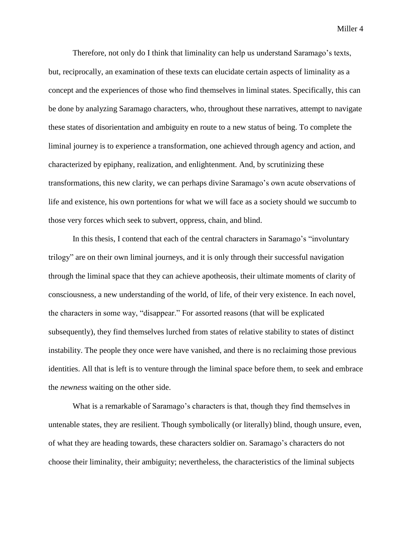Therefore, not only do I think that liminality can help us understand Saramago's texts, but, reciprocally, an examination of these texts can elucidate certain aspects of liminality as a concept and the experiences of those who find themselves in liminal states. Specifically, this can be done by analyzing Saramago characters, who, throughout these narratives, attempt to navigate these states of disorientation and ambiguity en route to a new status of being. To complete the liminal journey is to experience a transformation, one achieved through agency and action, and characterized by epiphany, realization, and enlightenment. And, by scrutinizing these transformations, this new clarity, we can perhaps divine Saramago's own acute observations of life and existence, his own portentions for what we will face as a society should we succumb to those very forces which seek to subvert, oppress, chain, and blind.

In this thesis, I contend that each of the central characters in Saramago's "involuntary trilogy" are on their own liminal journeys, and it is only through their successful navigation through the liminal space that they can achieve apotheosis, their ultimate moments of clarity of consciousness, a new understanding of the world, of life, of their very existence. In each novel, the characters in some way, "disappear." For assorted reasons (that will be explicated subsequently), they find themselves lurched from states of relative stability to states of distinct instability. The people they once were have vanished, and there is no reclaiming those previous identities. All that is left is to venture through the liminal space before them, to seek and embrace the *newness* waiting on the other side.

What is a remarkable of Saramago's characters is that, though they find themselves in untenable states, they are resilient. Though symbolically (or literally) blind, though unsure, even, of what they are heading towards, these characters soldier on. Saramago's characters do not choose their liminality, their ambiguity; nevertheless, the characteristics of the liminal subjects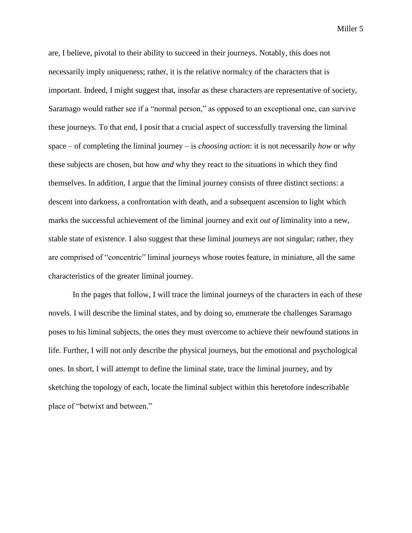are, I believe, pivotal to their ability to succeed in their journeys. Notably, this does not necessarily imply uniqueness; rather, it is the relative normalcy of the characters that is important. Indeed, I might suggest that, insofar as these characters are representative of society, Saramago would rather see if a "normal person," as opposed to an exceptional one, can survive these journeys. To that end, I posit that a crucial aspect of successfully traversing the liminal space – of completing the liminal journey – is *choosing action*: it is not necessarily *how* or *why*  these subjects are chosen, but how *and* why they react to the situations in which they find themselves. In addition, I argue that the liminal journey consists of three distinct sections: a descent into darkness, a confrontation with death, and a subsequent ascension to light which marks the successful achievement of the liminal journey and exit *out of* liminality into a new, stable state of existence. I also suggest that these liminal journeys are not singular; rather, they are comprised of "concentric" liminal journeys whose routes feature, in miniature, all the same characteristics of the greater liminal journey.

In the pages that follow, I will trace the liminal journeys of the characters in each of these novels. I will describe the liminal states, and by doing so, enumerate the challenges Saramago poses to his liminal subjects, the ones they must overcome to achieve their newfound stations in life. Further, I will not only describe the physical journeys, but the emotional and psychological ones. In short, I will attempt to define the liminal state, trace the liminal journey, and by sketching the topology of each, locate the liminal subject within this heretofore indescribable place of "betwixt and between."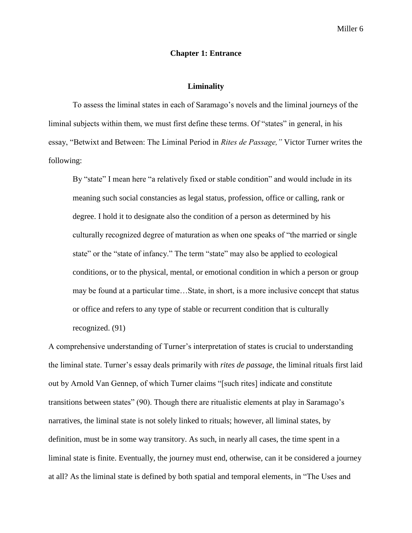# **Chapter 1: Entrance**

## **Liminality**

<span id="page-8-0"></span>To assess the liminal states in each of Saramago's novels and the liminal journeys of the liminal subjects within them, we must first define these terms. Of "states" in general, in his essay, "Betwixt and Between: The Liminal Period in *Rites de Passage,"* Victor Turner writes the following:

By "state" I mean here "a relatively fixed or stable condition" and would include in its meaning such social constancies as legal status, profession, office or calling, rank or degree. I hold it to designate also the condition of a person as determined by his culturally recognized degree of maturation as when one speaks of "the married or single state" or the "state of infancy." The term "state" may also be applied to ecological conditions, or to the physical, mental, or emotional condition in which a person or group may be found at a particular time…State, in short, is a more inclusive concept that status or office and refers to any type of stable or recurrent condition that is culturally recognized. (91)

A comprehensive understanding of Turner's interpretation of states is crucial to understanding the liminal state. Turner's essay deals primarily with *rites de passage*, the liminal rituals first laid out by Arnold Van Gennep, of which Turner claims "[such rites] indicate and constitute transitions between states" (90). Though there are ritualistic elements at play in Saramago's narratives, the liminal state is not solely linked to rituals; however, all liminal states, by definition, must be in some way transitory. As such, in nearly all cases, the time spent in a liminal state is finite. Eventually, the journey must end, otherwise, can it be considered a journey at all? As the liminal state is defined by both spatial and temporal elements, in "The Uses and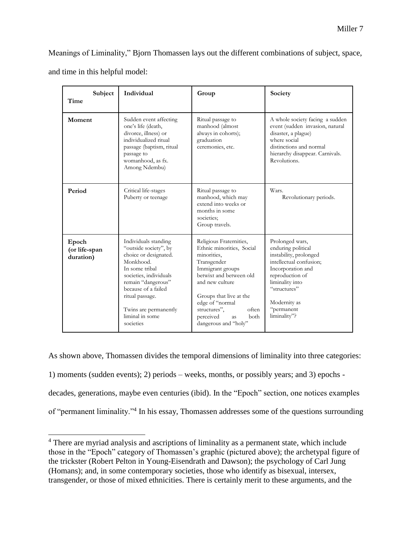Meanings of Liminality," Bjorn Thomassen lays out the different combinations of subject, space, and time in this helpful model:

| Subject<br>Time                     | Individual                                                                                                                                                                                                                                               | Group                                                                                                                                                                                                                                                                                        | Society                                                                                                                                                                                                             |
|-------------------------------------|----------------------------------------------------------------------------------------------------------------------------------------------------------------------------------------------------------------------------------------------------------|----------------------------------------------------------------------------------------------------------------------------------------------------------------------------------------------------------------------------------------------------------------------------------------------|---------------------------------------------------------------------------------------------------------------------------------------------------------------------------------------------------------------------|
| Moment                              | Sudden event affecting<br>one's life (death,<br>divorce, illness) or<br>individualized ritual<br>passage (baptism, ritual<br>passage to<br>womanhood, as fx.<br>Among Ndembu)                                                                            | Ritual passage to<br>manhood (almost<br>always in cohorts);<br>graduation<br>ceremonies, etc.                                                                                                                                                                                                | A whole society facing a sudden<br>event (sudden invasion, natural<br>disaster, a plague)<br>where social<br>distinctions and normal<br>hierarchy disappear. Carnivals.<br>Revolutions.                             |
| Period                              | Critical life-stages<br>Puberty or teenage                                                                                                                                                                                                               | Ritual passage to<br>manhood, which may<br>extend into weeks or<br>months in some<br>societies:<br>Group travels.                                                                                                                                                                            | Wars.<br>Revolutionary periods.                                                                                                                                                                                     |
| Epoch<br>(or life-span<br>duration) | Individuals standing<br>"outside society", by<br>choice or designated.<br>Monkhood.<br>In some tribal<br>societies, individuals<br>remain "dangerous"<br>because of a failed<br>ritual passage.<br>Twins are permanently<br>liminal in some<br>societies | Religious Fraternities,<br>Ethnic minorities, Social<br>minorities,<br>Transgender<br>Immigrant groups<br>betwixt and between old<br>and new culture<br>Groups that live at the<br>edge of "normal<br>structures",<br>often<br>perceived<br><b>both</b><br><b>as</b><br>dangerous and "holy" | Prolonged wars,<br>enduring political<br>instability, prolonged<br>intellectual confusion;<br>Incorporation and<br>reproduction of<br>liminality into<br>"structures"<br>Modernity as<br>"permanent<br>liminality"? |

As shown above, Thomassen divides the temporal dimensions of liminality into three categories: 1) moments (sudden events); 2) periods – weeks, months, or possibly years; and 3) epochs decades, generations, maybe even centuries (ibid). In the "Epoch" section, one notices examples of "permanent liminality."<sup>4</sup> In his essay, Thomassen addresses some of the questions surrounding

<sup>&</sup>lt;sup>4</sup> There are myriad analysis and ascriptions of liminality as a permanent state, which include those in the "Epoch" category of Thomassen's graphic (pictured above); the archetypal figure of the trickster (Robert Pelton in Young-Eisendrath and Dawson); the psychology of Carl Jung (Homans); and, in some contemporary societies, those who identify as bisexual, intersex, transgender, or those of mixed ethnicities. There is certainly merit to these arguments, and the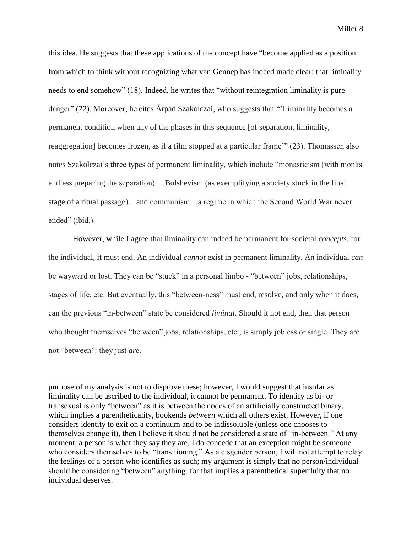this idea. He suggests that these applications of the concept have "become applied as a position from which to think without recognizing what van Gennep has indeed made clear: that liminality needs to end somehow" (18). Indeed, he writes that "without reintegration liminality is pure danger" (22). Moreover, he cites Árpád Szakolczai, who suggests that "'Liminality becomes a permanent condition when any of the phases in this sequence [of separation, liminality, reaggregation] becomes frozen, as if a film stopped at a particular frame'" (23). Thomassen also notes Szakolczai's three types of permanent liminality, which include "monasticism (with monks endless preparing the separation) …Bolshevism (as exemplifying a society stuck in the final stage of a ritual passage)…and communism…a regime in which the Second World War never ended" (ibid.).

However, while I agree that liminality can indeed be permanent for societal *concepts*, for the individual, it must end. An individual *cannot* exist in permanent liminality. An individual *can* be wayward or lost. They can be "stuck" in a personal limbo - "between" jobs, relationships, stages of life, etc. But eventually, this "between-ness" must end, resolve, and only when it does, can the previous "in-between" state be considered *liminal*. Should it not end, then that person who thought themselves "between" jobs, relationships, etc., is simply jobless or single. They are not "between": they just *are.* 

purpose of my analysis is not to disprove these; however, I would suggest that insofar as liminality can be ascribed to the individual, it cannot be permanent. To identify as bi- or transexual is only "between" as it is between the nodes of an artificially constructed binary, which implies a parentheticality, bookends *between* which all others exist. However, if one considers identity to exit on a continuum and to be indissoluble (unless one chooses to themselves change it), then I believe it should not be considered a state of "in-between." At any moment, a person is what they say they are. I do concede that an exception might be someone who considers themselves to be "transitioning." As a cisgender person, I will not attempt to relay the feelings of a person who identifies as such; my argument is simply that no person/individual should be considering "between" anything, for that implies a parenthetical superfluity that no individual deserves.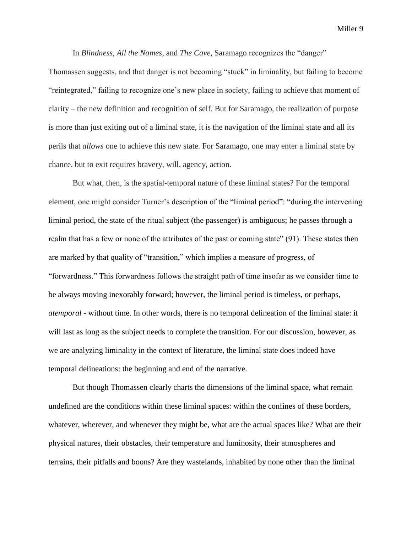In *Blindness, All the Names*, and *The Cave*, Saramago recognizes the "danger"

Thomassen suggests, and that danger is not becoming "stuck" in liminality, but failing to become "reintegrated," failing to recognize one's new place in society, failing to achieve that moment of clarity – the new definition and recognition of self. But for Saramago, the realization of purpose is more than just exiting out of a liminal state, it is the navigation of the liminal state and all its perils that *allows* one to achieve this new state. For Saramago, one may enter a liminal state by chance, but to exit requires bravery, will, agency, action.

But what, then, is the spatial-temporal nature of these liminal states? For the temporal element, one might consider Turner's description of the "liminal period": "during the intervening liminal period, the state of the ritual subject (the passenger) is ambiguous; he passes through a realm that has a few or none of the attributes of the past or coming state" (91). These states then are marked by that quality of "transition," which implies a measure of progress, of "forwardness." This forwardness follows the straight path of time insofar as we consider time to be always moving inexorably forward; however, the liminal period is timeless, or perhaps, *atemporal* - without time. In other words, there is no temporal delineation of the liminal state: it will last as long as the subject needs to complete the transition. For our discussion, however, as we are analyzing liminality in the context of literature, the liminal state does indeed have temporal delineations: the beginning and end of the narrative.

But though Thomassen clearly charts the dimensions of the liminal space, what remain undefined are the conditions within these liminal spaces: within the confines of these borders, whatever, wherever, and whenever they might be, what are the actual spaces like? What are their physical natures, their obstacles, their temperature and luminosity, their atmospheres and terrains, their pitfalls and boons? Are they wastelands, inhabited by none other than the liminal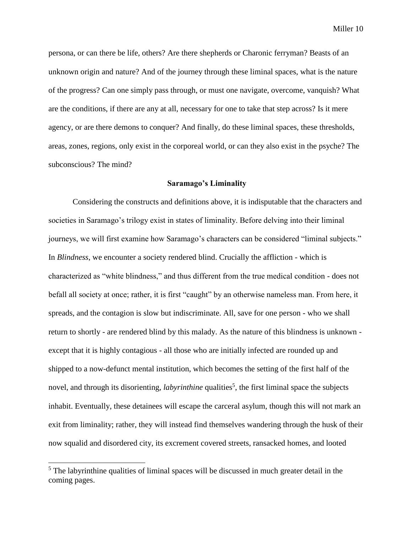persona, or can there be life, others? Are there shepherds or Charonic ferryman? Beasts of an unknown origin and nature? And of the journey through these liminal spaces, what is the nature of the progress? Can one simply pass through, or must one navigate, overcome, vanquish? What are the conditions, if there are any at all, necessary for one to take that step across? Is it mere agency, or are there demons to conquer? And finally, do these liminal spaces, these thresholds, areas, zones, regions, only exist in the corporeal world, or can they also exist in the psyche? The subconscious? The mind?

# **Saramago's Liminality**

Considering the constructs and definitions above, it is indisputable that the characters and societies in Saramago's trilogy exist in states of liminality. Before delving into their liminal journeys, we will first examine how Saramago's characters can be considered "liminal subjects." In *Blindness*, we encounter a society rendered blind. Crucially the affliction - which is characterized as "white blindness," and thus different from the true medical condition - does not befall all society at once; rather, it is first "caught" by an otherwise nameless man. From here, it spreads, and the contagion is slow but indiscriminate. All, save for one person - who we shall return to shortly - are rendered blind by this malady. As the nature of this blindness is unknown except that it is highly contagious - all those who are initially infected are rounded up and shipped to a now-defunct mental institution, which becomes the setting of the first half of the novel, and through its disorienting, *labyrinthine* qualities<sup>5</sup>, the first liminal space the subjects inhabit. Eventually, these detainees will escape the carceral asylum, though this will not mark an exit from liminality; rather, they will instead find themselves wandering through the husk of their now squalid and disordered city, its excrement covered streets, ransacked homes, and looted

<sup>&</sup>lt;sup>5</sup> The labyrinthine qualities of liminal spaces will be discussed in much greater detail in the coming pages.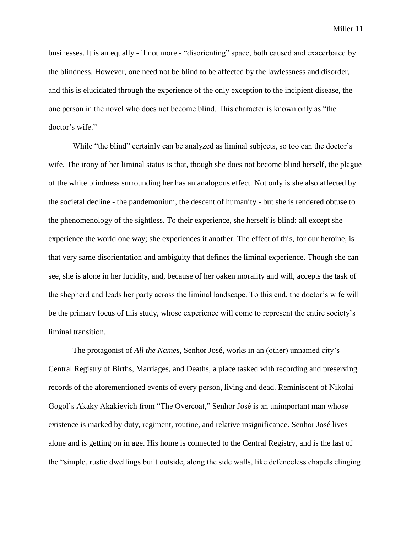businesses. It is an equally - if not more - "disorienting" space, both caused and exacerbated by the blindness. However, one need not be blind to be affected by the lawlessness and disorder, and this is elucidated through the experience of the only exception to the incipient disease, the one person in the novel who does not become blind. This character is known only as "the doctor's wife."

While "the blind" certainly can be analyzed as liminal subjects, so too can the doctor's wife. The irony of her liminal status is that, though she does not become blind herself, the plague of the white blindness surrounding her has an analogous effect. Not only is she also affected by the societal decline - the pandemonium, the descent of humanity - but she is rendered obtuse to the phenomenology of the sightless. To their experience, she herself is blind: all except she experience the world one way; she experiences it another. The effect of this, for our heroine, is that very same disorientation and ambiguity that defines the liminal experience. Though she can see, she is alone in her lucidity, and, because of her oaken morality and will, accepts the task of the shepherd and leads her party across the liminal landscape. To this end, the doctor's wife will be the primary focus of this study, whose experience will come to represent the entire society's liminal transition.

The protagonist of *All the Names,* Senhor José, works in an (other) unnamed city's Central Registry of Births, Marriages, and Deaths, a place tasked with recording and preserving records of the aforementioned events of every person, living and dead. Reminiscent of Nikolai Gogol's Akaky Akakievich from "The Overcoat," Senhor José is an unimportant man whose existence is marked by duty, regiment, routine, and relative insignificance. Senhor José lives alone and is getting on in age. His home is connected to the Central Registry, and is the last of the "simple, rustic dwellings built outside, along the side walls, like defenceless chapels clinging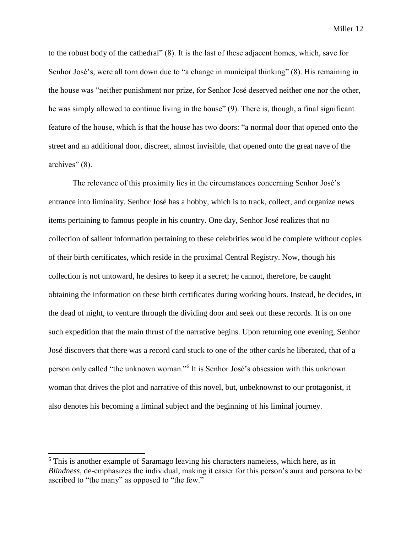to the robust body of the cathedral" (8). It is the last of these adjacent homes, which, save for Senhor José's, were all torn down due to "a change in municipal thinking" (8). His remaining in the house was "neither punishment nor prize, for Senhor José deserved neither one nor the other, he was simply allowed to continue living in the house" (9). There is, though, a final significant feature of the house, which is that the house has two doors: "a normal door that opened onto the street and an additional door, discreet, almost invisible, that opened onto the great nave of the archives" (8).

The relevance of this proximity lies in the circumstances concerning Senhor José's entrance into liminality. Senhor José has a hobby, which is to track, collect, and organize news items pertaining to famous people in his country. One day, Senhor José realizes that no collection of salient information pertaining to these celebrities would be complete without copies of their birth certificates, which reside in the proximal Central Registry. Now, though his collection is not untoward, he desires to keep it a secret; he cannot, therefore, be caught obtaining the information on these birth certificates during working hours. Instead, he decides, in the dead of night, to venture through the dividing door and seek out these records. It is on one such expedition that the main thrust of the narrative begins. Upon returning one evening, Senhor José discovers that there was a record card stuck to one of the other cards he liberated, that of a person only called "the unknown woman."<sup>6</sup> It is Senhor José's obsession with this unknown woman that drives the plot and narrative of this novel, but, unbeknownst to our protagonist, it also denotes his becoming a liminal subject and the beginning of his liminal journey.

<sup>&</sup>lt;sup>6</sup> This is another example of Saramago leaving his characters nameless, which here, as in *Blindness*, de-emphasizes the individual, making it easier for this person's aura and persona to be ascribed to "the many" as opposed to "the few."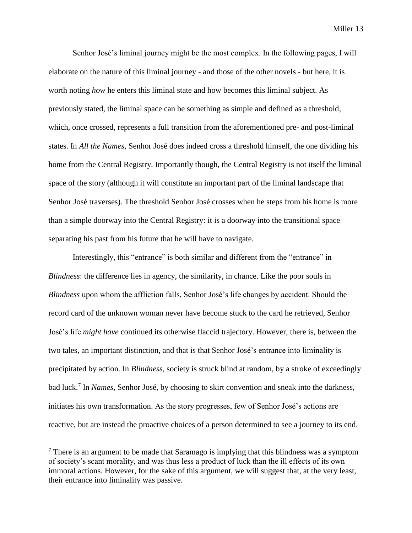Senhor José's liminal journey might be the most complex. In the following pages, I will elaborate on the nature of this liminal journey - and those of the other novels - but here, it is worth noting *how* he enters this liminal state and how becomes this liminal subject. As previously stated, the liminal space can be something as simple and defined as a threshold, which, once crossed, represents a full transition from the aforementioned pre- and post-liminal states. In *All the Names,* Senhor José does indeed cross a threshold himself, the one dividing his home from the Central Registry. Importantly though, the Central Registry is not itself the liminal space of the story (although it will constitute an important part of the liminal landscape that Senhor José traverses). The threshold Senhor José crosses when he steps from his home is more than a simple doorway into the Central Registry: it is a doorway into the transitional space separating his past from his future that he will have to navigate.

Interestingly, this "entrance" is both similar and different from the "entrance" in *Blindness*: the difference lies in agency, the similarity, in chance. Like the poor souls in *Blindness* upon whom the affliction falls, Senhor José's life changes by accident. Should the record card of the unknown woman never have become stuck to the card he retrieved, Senhor José's life *might have* continued its otherwise flaccid trajectory. However, there is, between the two tales, an important distinction, and that is that Senhor José's entrance into liminality is precipitated by action. In *Blindness*, society is struck blind at random, by a stroke of exceedingly bad luck.<sup>7</sup> In *Names,* Senhor José, by choosing to skirt convention and sneak into the darkness, initiates his own transformation. As the story progresses, few of Senhor José's actions are reactive, but are instead the proactive choices of a person determined to see a journey to its end.

 $<sup>7</sup>$  There is an argument to be made that Saramago is implying that this blindness was a symptom</sup> of society's scant morality, and was thus less a product of luck than the ill effects of its own immoral actions. However, for the sake of this argument, we will suggest that, at the very least, their entrance into liminality was passive.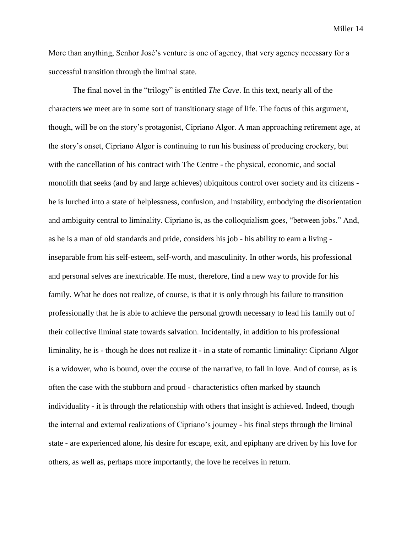More than anything, Senhor José's venture is one of agency, that very agency necessary for a successful transition through the liminal state.

The final novel in the "trilogy" is entitled *The Cave*. In this text, nearly all of the characters we meet are in some sort of transitionary stage of life. The focus of this argument, though, will be on the story's protagonist, Cipriano Algor. A man approaching retirement age, at the story's onset, Cipriano Algor is continuing to run his business of producing crockery, but with the cancellation of his contract with The Centre - the physical, economic, and social monolith that seeks (and by and large achieves) ubiquitous control over society and its citizens he is lurched into a state of helplessness, confusion, and instability, embodying the disorientation and ambiguity central to liminality. Cipriano is, as the colloquialism goes, "between jobs." And, as he is a man of old standards and pride, considers his job - his ability to earn a living inseparable from his self-esteem, self-worth, and masculinity. In other words, his professional and personal selves are inextricable. He must, therefore, find a new way to provide for his family. What he does not realize, of course, is that it is only through his failure to transition professionally that he is able to achieve the personal growth necessary to lead his family out of their collective liminal state towards salvation. Incidentally, in addition to his professional liminality, he is - though he does not realize it - in a state of romantic liminality: Cipriano Algor is a widower, who is bound, over the course of the narrative, to fall in love. And of course, as is often the case with the stubborn and proud - characteristics often marked by staunch individuality - it is through the relationship with others that insight is achieved. Indeed, though the internal and external realizations of Cipriano's journey - his final steps through the liminal state - are experienced alone, his desire for escape, exit, and epiphany are driven by his love for others, as well as, perhaps more importantly, the love he receives in return.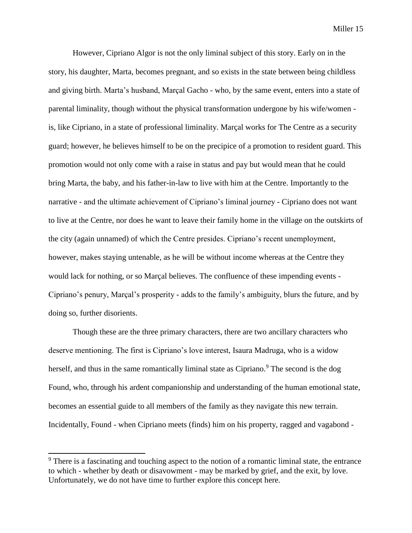However, Cipriano Algor is not the only liminal subject of this story. Early on in the story, his daughter, Marta, becomes pregnant, and so exists in the state between being childless and giving birth. Marta's husband, Marçal Gacho - who, by the same event, enters into a state of parental liminality, though without the physical transformation undergone by his wife/women is, like Cipriano, in a state of professional liminality. Marçal works for The Centre as a security guard; however, he believes himself to be on the precipice of a promotion to resident guard. This promotion would not only come with a raise in status and pay but would mean that he could bring Marta, the baby, and his father-in-law to live with him at the Centre. Importantly to the narrative - and the ultimate achievement of Cipriano's liminal journey - Cipriano does not want to live at the Centre, nor does he want to leave their family home in the village on the outskirts of the city (again unnamed) of which the Centre presides. Cipriano's recent unemployment, however, makes staying untenable, as he will be without income whereas at the Centre they would lack for nothing, or so Marçal believes. The confluence of these impending events - Cipriano's penury, Marçal's prosperity - adds to the family's ambiguity, blurs the future, and by doing so, further disorients.

Though these are the three primary characters, there are two ancillary characters who deserve mentioning. The first is Cipriano's love interest, Isaura Madruga, who is a widow herself, and thus in the same romantically liminal state as Cipriano.<sup>9</sup> The second is the dog Found, who, through his ardent companionship and understanding of the human emotional state, becomes an essential guide to all members of the family as they navigate this new terrain. Incidentally, Found - when Cipriano meets (finds) him on his property, ragged and vagabond -

 $9<sup>9</sup>$  There is a fascinating and touching aspect to the notion of a romantic liminal state, the entrance to which - whether by death or disavowment - may be marked by grief, and the exit, by love. Unfortunately, we do not have time to further explore this concept here.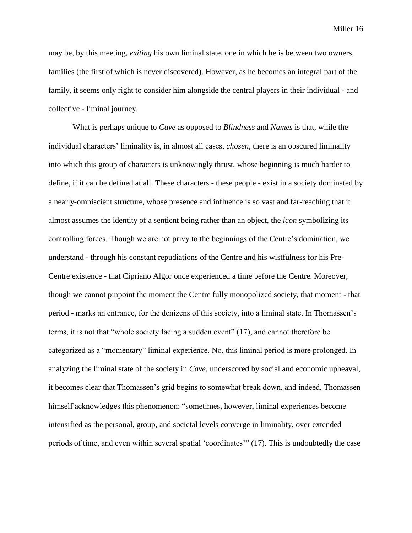may be, by this meeting, *exiting* his own liminal state, one in which he is between two owners, families (the first of which is never discovered). However, as he becomes an integral part of the family, it seems only right to consider him alongside the central players in their individual - and collective - liminal journey.

What is perhaps unique to *Cave* as opposed to *Blindness* and *Names* is that, while the individual characters' liminality is, in almost all cases, *chosen,* there is an obscured liminality into which this group of characters is unknowingly thrust, whose beginning is much harder to define, if it can be defined at all. These characters - these people - exist in a society dominated by a nearly-omniscient structure, whose presence and influence is so vast and far-reaching that it almost assumes the identity of a sentient being rather than an object, the *icon* symbolizing its controlling forces. Though we are not privy to the beginnings of the Centre's domination, we understand - through his constant repudiations of the Centre and his wistfulness for his Pre-Centre existence - that Cipriano Algor once experienced a time before the Centre. Moreover, though we cannot pinpoint the moment the Centre fully monopolized society, that moment - that period - marks an entrance, for the denizens of this society, into a liminal state. In Thomassen's terms, it is not that "whole society facing a sudden event" (17), and cannot therefore be categorized as a "momentary" liminal experience. No, this liminal period is more prolonged. In analyzing the liminal state of the society in *Cave*, underscored by social and economic upheaval, it becomes clear that Thomassen's grid begins to somewhat break down, and indeed, Thomassen himself acknowledges this phenomenon: "sometimes, however, liminal experiences become intensified as the personal, group, and societal levels converge in liminality, over extended periods of time, and even within several spatial 'coordinates'" (17). This is undoubtedly the case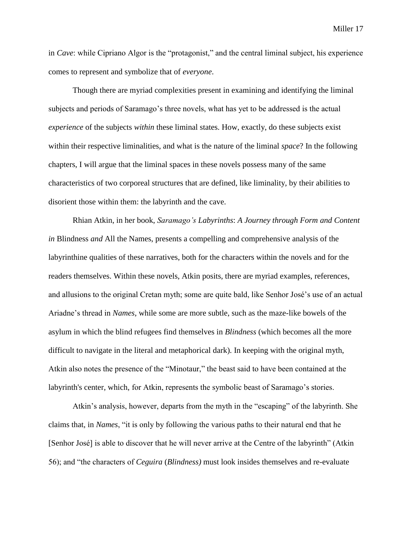in *Cave*: while Cipriano Algor is the "protagonist," and the central liminal subject, his experience comes to represent and symbolize that of *everyone*.

Though there are myriad complexities present in examining and identifying the liminal subjects and periods of Saramago's three novels, what has yet to be addressed is the actual *experience* of the subjects *within* these liminal states. How, exactly, do these subjects exist within their respective liminalities, and what is the nature of the liminal *space*? In the following chapters, I will argue that the liminal spaces in these novels possess many of the same characteristics of two corporeal structures that are defined, like liminality, by their abilities to disorient those within them: the labyrinth and the cave.

Rhian Atkin, in her book, *Saramago's Labyrinths*: *A Journey through Form and Content in* Blindness *and* All the Names, presents a compelling and comprehensive analysis of the labyrinthine qualities of these narratives, both for the characters within the novels and for the readers themselves. Within these novels, Atkin posits, there are myriad examples, references, and allusions to the original Cretan myth; some are quite bald, like Senhor José's use of an actual Ariadne's thread in *Names*, while some are more subtle, such as the maze-like bowels of the asylum in which the blind refugees find themselves in *Blindness* (which becomes all the more difficult to navigate in the literal and metaphorical dark). In keeping with the original myth, Atkin also notes the presence of the "Minotaur," the beast said to have been contained at the labyrinth's center, which, for Atkin, represents the symbolic beast of Saramago's stories.

Atkin's analysis, however, departs from the myth in the "escaping" of the labyrinth. She claims that, in *Names*, "it is only by following the various paths to their natural end that he [Senhor José] is able to discover that he will never arrive at the Centre of the labyrinth" (Atkin 56); and "the characters of *Ceguira* (*Blindness)* must look insides themselves and re-evaluate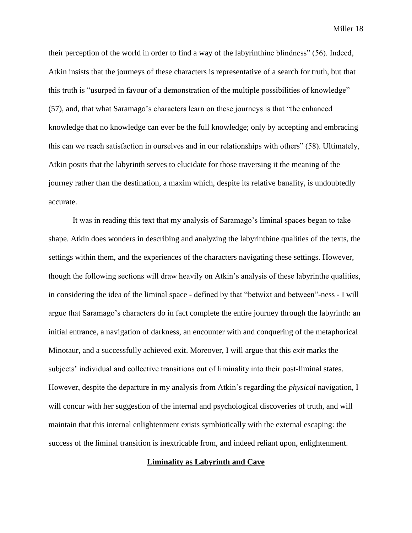their perception of the world in order to find a way of the labyrinthine blindness" (56). Indeed, Atkin insists that the journeys of these characters is representative of a search for truth, but that this truth is "usurped in favour of a demonstration of the multiple possibilities of knowledge" (57), and, that what Saramago's characters learn on these journeys is that "the enhanced knowledge that no knowledge can ever be the full knowledge; only by accepting and embracing this can we reach satisfaction in ourselves and in our relationships with others" (58). Ultimately, Atkin posits that the labyrinth serves to elucidate for those traversing it the meaning of the journey rather than the destination, a maxim which, despite its relative banality, is undoubtedly accurate.

It was in reading this text that my analysis of Saramago's liminal spaces began to take shape. Atkin does wonders in describing and analyzing the labyrinthine qualities of the texts, the settings within them, and the experiences of the characters navigating these settings. However, though the following sections will draw heavily on Atkin's analysis of these labyrinthe qualities, in considering the idea of the liminal space - defined by that "betwixt and between"-ness - I will argue that Saramago's characters do in fact complete the entire journey through the labyrinth: an initial entrance, a navigation of darkness, an encounter with and conquering of the metaphorical Minotaur, and a successfully achieved exit. Moreover, I will argue that this *exit* marks the subjects' individual and collective transitions out of liminality into their post-liminal states. However, despite the departure in my analysis from Atkin's regarding the *physical* navigation, I will concur with her suggestion of the internal and psychological discoveries of truth, and will maintain that this internal enlightenment exists symbiotically with the external escaping: the success of the liminal transition is inextricable from, and indeed reliant upon, enlightenment.

#### **Liminality as Labyrinth and Cave**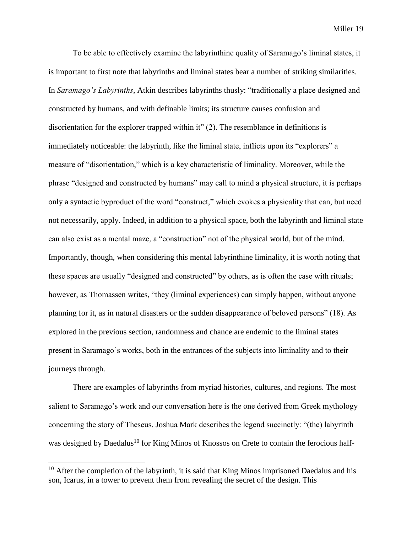To be able to effectively examine the labyrinthine quality of Saramago's liminal states, it is important to first note that labyrinths and liminal states bear a number of striking similarities. In *Saramago's Labyrinths*, Atkin describes labyrinths thusly: "traditionally a place designed and constructed by humans, and with definable limits; its structure causes confusion and disorientation for the explorer trapped within it" (2). The resemblance in definitions is immediately noticeable: the labyrinth, like the liminal state, inflicts upon its "explorers" a measure of "disorientation," which is a key characteristic of liminality. Moreover, while the phrase "designed and constructed by humans" may call to mind a physical structure, it is perhaps only a syntactic byproduct of the word "construct," which evokes a physicality that can, but need not necessarily, apply. Indeed, in addition to a physical space, both the labyrinth and liminal state can also exist as a mental maze, a "construction" not of the physical world, but of the mind. Importantly, though, when considering this mental labyrinthine liminality, it is worth noting that these spaces are usually "designed and constructed" by others, as is often the case with rituals; however, as Thomassen writes, "they (liminal experiences) can simply happen, without anyone planning for it, as in natural disasters or the sudden disappearance of beloved persons" (18). As explored in the previous section, randomness and chance are endemic to the liminal states present in Saramago's works, both in the entrances of the subjects into liminality and to their journeys through.

There are examples of labyrinths from myriad histories, cultures, and regions. The most salient to Saramago's work and our conversation here is the one derived from Greek mythology concerning the story of Theseus. Joshua Mark describes the legend succinctly: "(the) labyrinth was designed by Daedalus<sup>10</sup> for King Minos of Knossos on Crete to contain the ferocious half-

 $10$  After the completion of the labyrinth, it is said that King Minos imprisoned Daedalus and his son, Icarus, in a tower to prevent them from revealing the secret of the design. This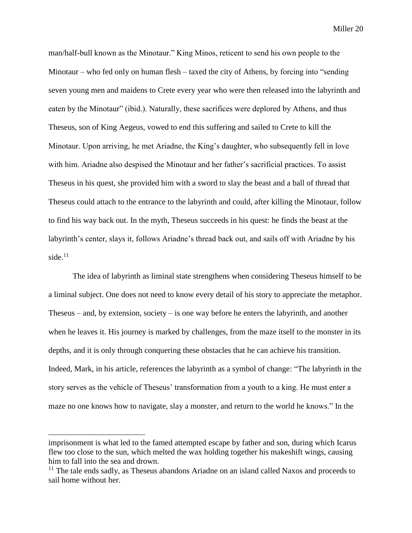man/half-bull known as the Minotaur." King Minos, reticent to send his own people to the Minotaur – who fed only on human flesh – taxed the city of Athens, by forcing into "sending seven young men and maidens to Crete every year who were then released into the labyrinth and eaten by the Minotaur" (ibid.). Naturally, these sacrifices were deplored by Athens, and thus Theseus, son of King Aegeus, vowed to end this suffering and sailed to Crete to kill the Minotaur. Upon arriving, he met Ariadne, the King's daughter, who subsequently fell in love with him. Ariadne also despised the Minotaur and her father's sacrificial practices. To assist Theseus in his quest, she provided him with a sword to slay the beast and a ball of thread that Theseus could attach to the entrance to the labyrinth and could, after killing the Minotaur, follow to find his way back out. In the myth, Theseus succeeds in his quest: he finds the beast at the labyrinth's center, slays it, follows Ariadne's thread back out, and sails off with Ariadne by his side. $11$ 

The idea of labyrinth as liminal state strengthens when considering Theseus himself to be a liminal subject. One does not need to know every detail of his story to appreciate the metaphor. Theseus – and, by extension, society – is one way before he enters the labyrinth, and another when he leaves it. His journey is marked by challenges, from the maze itself to the monster in its depths, and it is only through conquering these obstacles that he can achieve his transition. Indeed, Mark, in his article, references the labyrinth as a symbol of change: "The labyrinth in the story serves as the vehicle of Theseus' transformation from a youth to a king. He must enter a maze no one knows how to navigate, slay a monster, and return to the world he knows." In the

imprisonment is what led to the famed attempted escape by father and son, during which Icarus flew too close to the sun, which melted the wax holding together his makeshift wings, causing him to fall into the sea and drown.

 $11$  The tale ends sadly, as Theseus abandons Ariadne on an island called Naxos and proceeds to sail home without her.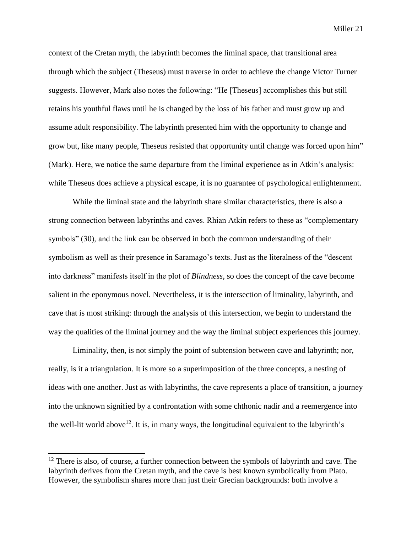context of the Cretan myth, the labyrinth becomes the liminal space, that transitional area through which the subject (Theseus) must traverse in order to achieve the change Victor Turner suggests. However, Mark also notes the following: "He [Theseus] accomplishes this but still retains his youthful flaws until he is changed by the loss of his father and must grow up and assume adult responsibility. The labyrinth presented him with the opportunity to change and grow but, like many people, Theseus resisted that opportunity until change was forced upon him" (Mark). Here, we notice the same departure from the liminal experience as in Atkin's analysis: while Theseus does achieve a physical escape, it is no guarantee of psychological enlightenment.

While the liminal state and the labyrinth share similar characteristics, there is also a strong connection between labyrinths and caves. Rhian Atkin refers to these as "complementary symbols" (30), and the link can be observed in both the common understanding of their symbolism as well as their presence in Saramago's texts. Just as the literalness of the "descent into darkness" manifests itself in the plot of *Blindness*, so does the concept of the cave become salient in the eponymous novel. Nevertheless, it is the intersection of liminality, labyrinth, and cave that is most striking: through the analysis of this intersection, we begin to understand the way the qualities of the liminal journey and the way the liminal subject experiences this journey.

Liminality, then, is not simply the point of subtension between cave and labyrinth; nor, really, is it a triangulation. It is more so a superimposition of the three concepts, a nesting of ideas with one another. Just as with labyrinths, the cave represents a place of transition, a journey into the unknown signified by a confrontation with some chthonic nadir and a reemergence into the well-lit world above<sup>12</sup>. It is, in many ways, the longitudinal equivalent to the labyrinth's

 $12$  There is also, of course, a further connection between the symbols of labyrinth and cave. The labyrinth derives from the Cretan myth, and the cave is best known symbolically from Plato. However, the symbolism shares more than just their Grecian backgrounds: both involve a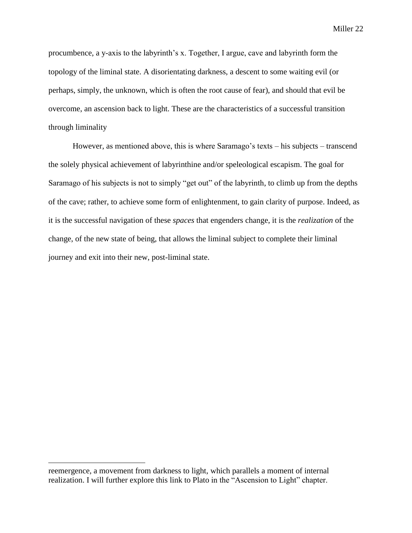procumbence, a y-axis to the labyrinth's x. Together, I argue, cave and labyrinth form the topology of the liminal state. A disorientating darkness, a descent to some waiting evil (or perhaps, simply, the unknown, which is often the root cause of fear), and should that evil be overcome, an ascension back to light. These are the characteristics of a successful transition through liminality

However, as mentioned above, this is where Saramago's texts – his subjects – transcend the solely physical achievement of labyrinthine and/or speleological escapism. The goal for Saramago of his subjects is not to simply "get out" of the labyrinth, to climb up from the depths of the cave; rather, to achieve some form of enlightenment, to gain clarity of purpose. Indeed, as it is the successful navigation of these *spaces* that engenders change, it is the *realization* of the change, of the new state of being, that allows the liminal subject to complete their liminal journey and exit into their new, post-liminal state.

reemergence, a movement from darkness to light, which parallels a moment of internal realization. I will further explore this link to Plato in the "Ascension to Light" chapter.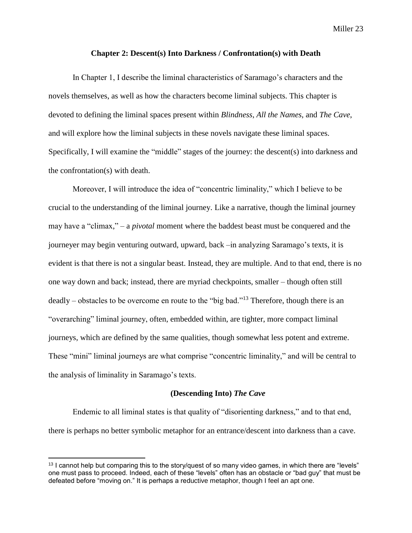## **Chapter 2: Descent(s) Into Darkness / Confrontation(s) with Death**

<span id="page-25-0"></span>In Chapter 1, I describe the liminal characteristics of Saramago's characters and the novels themselves, as well as how the characters become liminal subjects. This chapter is devoted to defining the liminal spaces present within *Blindness*, *All the Names*, and *The Cave*, and will explore how the liminal subjects in these novels navigate these liminal spaces. Specifically, I will examine the "middle" stages of the journey: the descent(s) into darkness and the confrontation(s) with death.

Moreover, I will introduce the idea of "concentric liminality," which I believe to be crucial to the understanding of the liminal journey. Like a narrative, though the liminal journey may have a "climax," – a *pivotal* moment where the baddest beast must be conquered and the journeyer may begin venturing outward, upward, back –in analyzing Saramago's texts, it is evident is that there is not a singular beast. Instead, they are multiple. And to that end, there is no one way down and back; instead, there are myriad checkpoints, smaller – though often still deadly – obstacles to be overcome en route to the "big bad."<sup>13</sup> Therefore, though there is an "overarching" liminal journey, often, embedded within, are tighter, more compact liminal journeys, which are defined by the same qualities, though somewhat less potent and extreme. These "mini" liminal journeys are what comprise "concentric liminality," and will be central to the analysis of liminality in Saramago's texts.

#### **(Descending Into)** *The Cave*

Endemic to all liminal states is that quality of "disorienting darkness," and to that end, there is perhaps no better symbolic metaphor for an entrance/descent into darkness than a cave.

 $13$  I cannot help but comparing this to the story/quest of so many video games, in which there are "levels" one must pass to proceed. Indeed, each of these "levels" often has an obstacle or "bad guy" that must be defeated before "moving on." It is perhaps a reductive metaphor, though I feel an apt one.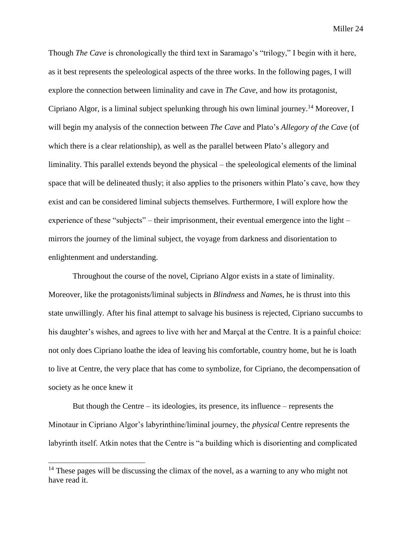Though *The Cave* is chronologically the third text in Saramago's "trilogy," I begin with it here, as it best represents the speleological aspects of the three works. In the following pages, I will explore the connection between liminality and cave in *The Cave*, and how its protagonist, Cipriano Algor, is a liminal subject spelunking through his own liminal journey.<sup>14</sup> Moreover, I will begin my analysis of the connection between *The Cave* and Plato's *Allegory of the Cave* (of which there is a clear relationship), as well as the parallel between Plato's allegory and liminality. This parallel extends beyond the physical – the speleological elements of the liminal space that will be delineated thusly; it also applies to the prisoners within Plato's cave, how they exist and can be considered liminal subjects themselves. Furthermore, I will explore how the experience of these "subjects" – their imprisonment, their eventual emergence into the light – mirrors the journey of the liminal subject, the voyage from darkness and disorientation to enlightenment and understanding.

Throughout the course of the novel, Cipriano Algor exists in a state of liminality. Moreover, like the protagonists/liminal subjects in *Blindness* and *Names*, he is thrust into this state unwillingly. After his final attempt to salvage his business is rejected, Cipriano succumbs to his daughter's wishes, and agrees to live with her and Marçal at the Centre. It is a painful choice: not only does Cipriano loathe the idea of leaving his comfortable, country home, but he is loath to live at Centre, the very place that has come to symbolize, for Cipriano, the decompensation of society as he once knew it

But though the Centre – its ideologies, its presence, its influence – represents the Minotaur in Cipriano Algor's labyrinthine/liminal journey, the *physical* Centre represents the labyrinth itself. Atkin notes that the Centre is "a building which is disorienting and complicated

 $14$  These pages will be discussing the climax of the novel, as a warning to any who might not have read it.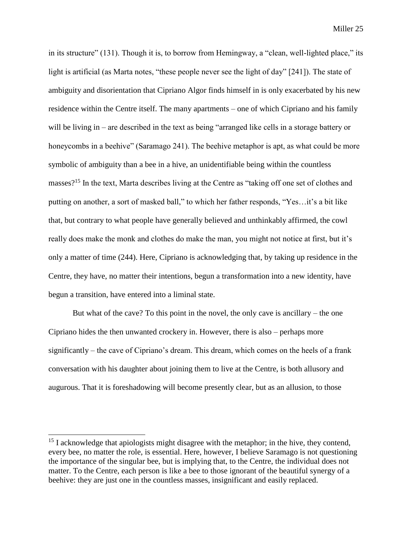in its structure" (131). Though it is, to borrow from Hemingway, a "clean, well-lighted place," its light is artificial (as Marta notes, "these people never see the light of day" [241]). The state of ambiguity and disorientation that Cipriano Algor finds himself in is only exacerbated by his new residence within the Centre itself. The many apartments – one of which Cipriano and his family will be living in – are described in the text as being "arranged like cells in a storage battery or honeycombs in a beehive" (Saramago 241). The beehive metaphor is apt, as what could be more symbolic of ambiguity than a bee in a hive, an unidentifiable being within the countless masses?<sup>15</sup> In the text, Marta describes living at the Centre as "taking off one set of clothes and putting on another, a sort of masked ball," to which her father responds, "Yes…it's a bit like that, but contrary to what people have generally believed and unthinkably affirmed, the cowl really does make the monk and clothes do make the man, you might not notice at first, but it's only a matter of time (244). Here, Cipriano is acknowledging that, by taking up residence in the Centre, they have, no matter their intentions, begun a transformation into a new identity, have begun a transition, have entered into a liminal state.

But what of the cave? To this point in the novel, the only cave is ancillary – the one Cipriano hides the then unwanted crockery in. However, there is also – perhaps more significantly – the cave of Cipriano's dream. This dream, which comes on the heels of a frank conversation with his daughter about joining them to live at the Centre, is both allusory and augurous. That it is foreshadowing will become presently clear, but as an allusion, to those

 $15$  I acknowledge that apiologists might disagree with the metaphor; in the hive, they contend, every bee, no matter the role, is essential. Here, however, I believe Saramago is not questioning the importance of the singular bee, but is implying that, to the Centre, the individual does not matter. To the Centre, each person is like a bee to those ignorant of the beautiful synergy of a beehive: they are just one in the countless masses, insignificant and easily replaced.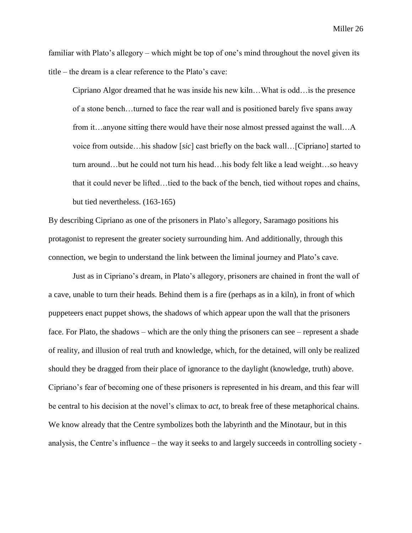familiar with Plato's allegory – which might be top of one's mind throughout the novel given its title – the dream is a clear reference to the Plato's cave:

Cipriano Algor dreamed that he was inside his new kiln…What is odd…is the presence of a stone bench…turned to face the rear wall and is positioned barely five spans away from it…anyone sitting there would have their nose almost pressed against the wall…A voice from outside…his shadow [*sic*] cast briefly on the back wall…[Cipriano] started to turn around…but he could not turn his head…his body felt like a lead weight…so heavy that it could never be lifted…tied to the back of the bench, tied without ropes and chains, but tied nevertheless. (163-165)

By describing Cipriano as one of the prisoners in Plato's allegory, Saramago positions his protagonist to represent the greater society surrounding him. And additionally, through this connection, we begin to understand the link between the liminal journey and Plato's cave.

Just as in Cipriano's dream, in Plato's allegory, prisoners are chained in front the wall of a cave, unable to turn their heads. Behind them is a fire (perhaps as in a kiln), in front of which puppeteers enact puppet shows, the shadows of which appear upon the wall that the prisoners face. For Plato, the shadows – which are the only thing the prisoners can see – represent a shade of reality, and illusion of real truth and knowledge, which, for the detained, will only be realized should they be dragged from their place of ignorance to the daylight (knowledge, truth) above. Cipriano's fear of becoming one of these prisoners is represented in his dream, and this fear will be central to his decision at the novel's climax to *act*, to break free of these metaphorical chains. We know already that the Centre symbolizes both the labyrinth and the Minotaur, but in this analysis, the Centre's influence – the way it seeks to and largely succeeds in controlling society -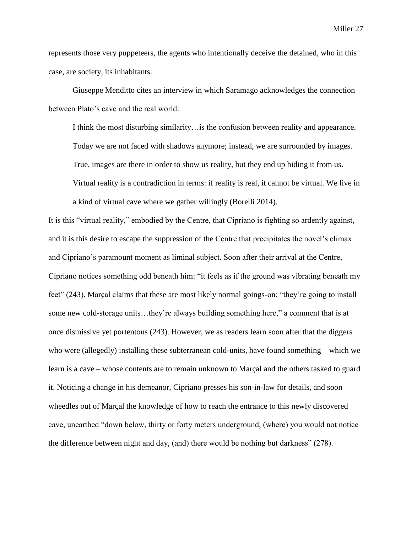represents those very puppeteers, the agents who intentionally deceive the detained, who in this case, are society, its inhabitants.

Giuseppe Menditto cites an interview in which Saramago acknowledges the connection between Plato's cave and the real world:

a kind of virtual cave where we gather willingly (Borelli 2014).

I think the most disturbing similarity... is the confusion between reality and appearance. Today we are not faced with shadows anymore; instead, we are surrounded by images. True, images are there in order to show us reality, but they end up hiding it from us. Virtual reality is a contradiction in terms: if reality is real, it cannot be virtual. We live in

It is this "virtual reality," embodied by the Centre, that Cipriano is fighting so ardently against, and it is this desire to escape the suppression of the Centre that precipitates the novel's climax and Cipriano's paramount moment as liminal subject. Soon after their arrival at the Centre, Cipriano notices something odd beneath him: "it feels as if the ground was vibrating beneath my feet" (243). Marçal claims that these are most likely normal goings-on: "they're going to install some new cold-storage units…they're always building something here," a comment that is at once dismissive yet portentous (243). However, we as readers learn soon after that the diggers who were (allegedly) installing these subterranean cold-units, have found something – which we learn is a cave – whose contents are to remain unknown to Marçal and the others tasked to guard it. Noticing a change in his demeanor, Cipriano presses his son-in-law for details, and soon wheedles out of Marçal the knowledge of how to reach the entrance to this newly discovered cave, unearthed "down below, thirty or forty meters underground, (where) you would not notice the difference between night and day, (and) there would be nothing but darkness" (278).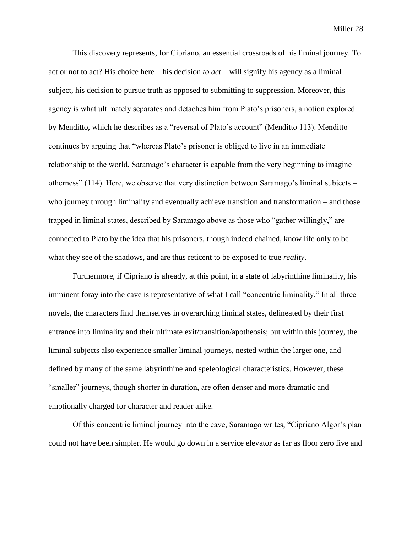This discovery represents, for Cipriano, an essential crossroads of his liminal journey. To act or not to act? His choice here – his decision *to act* – will signify his agency as a liminal subject, his decision to pursue truth as opposed to submitting to suppression. Moreover, this agency is what ultimately separates and detaches him from Plato's prisoners, a notion explored by Menditto, which he describes as a "reversal of Plato's account" (Menditto 113). Menditto continues by arguing that "whereas Plato's prisoner is obliged to live in an immediate relationship to the world, Saramago's character is capable from the very beginning to imagine otherness" (114). Here, we observe that very distinction between Saramago's liminal subjects – who journey through liminality and eventually achieve transition and transformation – and those trapped in liminal states, described by Saramago above as those who "gather willingly," are connected to Plato by the idea that his prisoners, though indeed chained, know life only to be what they see of the shadows, and are thus reticent to be exposed to true *reality*.

Furthermore, if Cipriano is already, at this point, in a state of labyrinthine liminality, his imminent foray into the cave is representative of what I call "concentric liminality." In all three novels, the characters find themselves in overarching liminal states, delineated by their first entrance into liminality and their ultimate exit/transition/apotheosis; but within this journey, the liminal subjects also experience smaller liminal journeys, nested within the larger one, and defined by many of the same labyrinthine and speleological characteristics. However, these "smaller" journeys, though shorter in duration, are often denser and more dramatic and emotionally charged for character and reader alike.

Of this concentric liminal journey into the cave, Saramago writes, "Cipriano Algor's plan could not have been simpler. He would go down in a service elevator as far as floor zero five and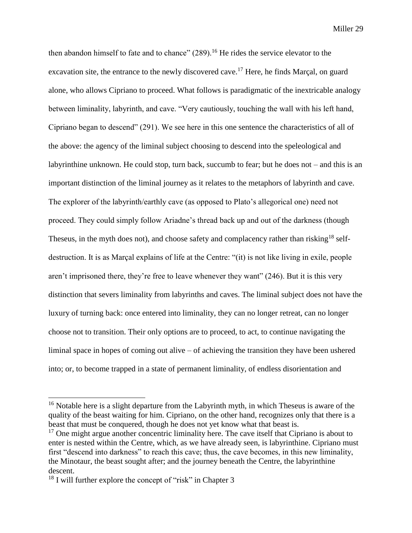then abandon himself to fate and to chance"  $(289)$ <sup>16</sup> He rides the service elevator to the excavation site, the entrance to the newly discovered cave.<sup>17</sup> Here, he finds Marçal, on guard alone, who allows Cipriano to proceed. What follows is paradigmatic of the inextricable analogy between liminality, labyrinth, and cave. "Very cautiously, touching the wall with his left hand, Cipriano began to descend" (291). We see here in this one sentence the characteristics of all of the above: the agency of the liminal subject choosing to descend into the speleological and labyrinthine unknown. He could stop, turn back, succumb to fear; but he does not – and this is an important distinction of the liminal journey as it relates to the metaphors of labyrinth and cave. The explorer of the labyrinth/earthly cave (as opposed to Plato's allegorical one) need not proceed. They could simply follow Ariadne's thread back up and out of the darkness (though Theseus, in the myth does not), and choose safety and complacency rather than risking<sup>18</sup> selfdestruction. It is as Marçal explains of life at the Centre: "(it) is not like living in exile, people aren't imprisoned there, they're free to leave whenever they want" (246). But it is this very distinction that severs liminality from labyrinths and caves. The liminal subject does not have the luxury of turning back: once entered into liminality, they can no longer retreat, can no longer choose not to transition. Their only options are to proceed, to act, to continue navigating the liminal space in hopes of coming out alive – of achieving the transition they have been ushered into; or, to become trapped in a state of permanent liminality, of endless disorientation and

<sup>&</sup>lt;sup>16</sup> Notable here is a slight departure from the Labyrinth myth, in which Theseus is aware of the quality of the beast waiting for him. Cipriano, on the other hand, recognizes only that there is a beast that must be conquered, though he does not yet know what that beast is.

 $17$  One might argue another concentric liminality here. The cave itself that Cipriano is about to enter is nested within the Centre, which, as we have already seen, is labyrinthine. Cipriano must first "descend into darkness" to reach this cave; thus, the cave becomes, in this new liminality, the Minotaur, the beast sought after; and the journey beneath the Centre, the labyrinthine descent.

 $18$  I will further explore the concept of "risk" in Chapter 3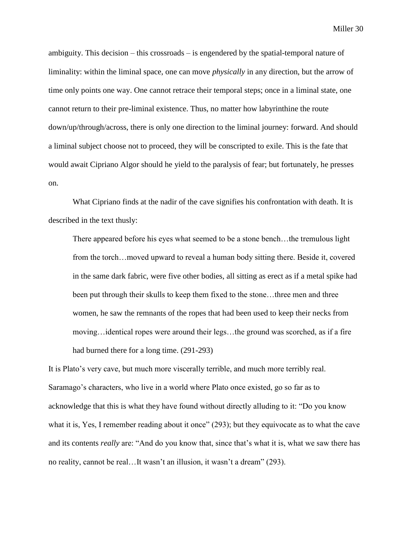ambiguity. This decision – this crossroads – is engendered by the spatial-temporal nature of liminality: within the liminal space, one can move *physically* in any direction, but the arrow of time only points one way. One cannot retrace their temporal steps; once in a liminal state, one cannot return to their pre-liminal existence. Thus, no matter how labyrinthine the route down/up/through/across, there is only one direction to the liminal journey: forward. And should a liminal subject choose not to proceed, they will be conscripted to exile. This is the fate that would await Cipriano Algor should he yield to the paralysis of fear; but fortunately, he presses on.

What Cipriano finds at the nadir of the cave signifies his confrontation with death. It is described in the text thusly:

There appeared before his eyes what seemed to be a stone bench…the tremulous light from the torch…moved upward to reveal a human body sitting there. Beside it, covered in the same dark fabric, were five other bodies, all sitting as erect as if a metal spike had been put through their skulls to keep them fixed to the stone…three men and three women, he saw the remnants of the ropes that had been used to keep their necks from moving…identical ropes were around their legs…the ground was scorched, as if a fire had burned there for a long time. (291-293)

It is Plato's very cave, but much more viscerally terrible, and much more terribly real. Saramago's characters, who live in a world where Plato once existed, go so far as to acknowledge that this is what they have found without directly alluding to it: "Do you know what it is, Yes, I remember reading about it once" (293); but they equivocate as to what the cave and its contents *really* are: "And do you know that, since that's what it is, what we saw there has no reality, cannot be real…It wasn't an illusion, it wasn't a dream" (293).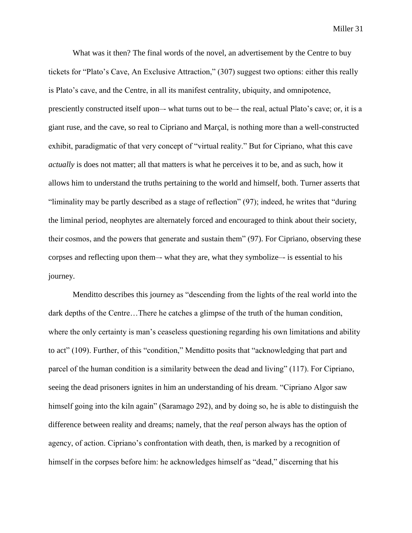What was it then? The final words of the novel, an advertisement by the Centre to buy tickets for "Plato's Cave, An Exclusive Attraction," (307) suggest two options: either this really is Plato's cave, and the Centre, in all its manifest centrality, ubiquity, and omnipotence, presciently constructed itself upon–- what turns out to be–- the real, actual Plato's cave; or, it is a giant ruse, and the cave, so real to Cipriano and Marçal, is nothing more than a well-constructed exhibit, paradigmatic of that very concept of "virtual reality." But for Cipriano, what this cave *actually* is does not matter; all that matters is what he perceives it to be, and as such, how it allows him to understand the truths pertaining to the world and himself, both. Turner asserts that "liminality may be partly described as a stage of reflection" (97); indeed, he writes that "during the liminal period, neophytes are alternately forced and encouraged to think about their society, their cosmos, and the powers that generate and sustain them" (97). For Cipriano, observing these corpses and reflecting upon them–- what they are, what they symbolize–- is essential to his journey.

Menditto describes this journey as "descending from the lights of the real world into the dark depths of the Centre…There he catches a glimpse of the truth of the human condition, where the only certainty is man's ceaseless questioning regarding his own limitations and ability to act" (109). Further, of this "condition," Menditto posits that "acknowledging that part and parcel of the human condition is a similarity between the dead and living" (117). For Cipriano, seeing the dead prisoners ignites in him an understanding of his dream. "Cipriano Algor saw himself going into the kiln again" (Saramago 292), and by doing so, he is able to distinguish the difference between reality and dreams; namely, that the *real* person always has the option of agency, of action. Cipriano's confrontation with death, then, is marked by a recognition of himself in the corpses before him: he acknowledges himself as "dead," discerning that his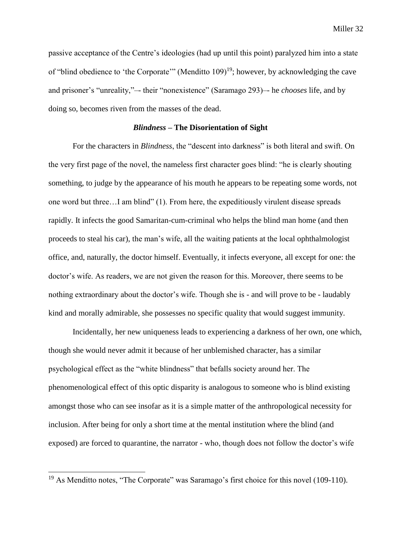passive acceptance of the Centre's ideologies (had up until this point) paralyzed him into a state of "blind obedience to 'the Corporate'" (Menditto 109)<sup>19</sup>; however, by acknowledging the cave and prisoner's "unreality,"–- their "nonexistence" (Saramago 293)–- he *chooses* life, and by doing so, becomes riven from the masses of the dead.

## *Blindness –* **The Disorientation of Sight**

For the characters in *Blindness*, the "descent into darkness" is both literal and swift. On the very first page of the novel, the nameless first character goes blind: "he is clearly shouting something, to judge by the appearance of his mouth he appears to be repeating some words, not one word but three…I am blind" (1). From here, the expeditiously virulent disease spreads rapidly. It infects the good Samaritan-cum-criminal who helps the blind man home (and then proceeds to steal his car), the man's wife, all the waiting patients at the local ophthalmologist office, and, naturally, the doctor himself. Eventually, it infects everyone, all except for one: the doctor's wife. As readers, we are not given the reason for this. Moreover, there seems to be nothing extraordinary about the doctor's wife. Though she is - and will prove to be - laudably kind and morally admirable, she possesses no specific quality that would suggest immunity.

Incidentally, her new uniqueness leads to experiencing a darkness of her own, one which, though she would never admit it because of her unblemished character, has a similar psychological effect as the "white blindness" that befalls society around her. The phenomenological effect of this optic disparity is analogous to someone who is blind existing amongst those who can see insofar as it is a simple matter of the anthropological necessity for inclusion. After being for only a short time at the mental institution where the blind (and exposed) are forced to quarantine, the narrator - who, though does not follow the doctor's wife

<sup>&</sup>lt;sup>19</sup> As Menditto notes, "The Corporate" was Saramago's first choice for this novel (109-110).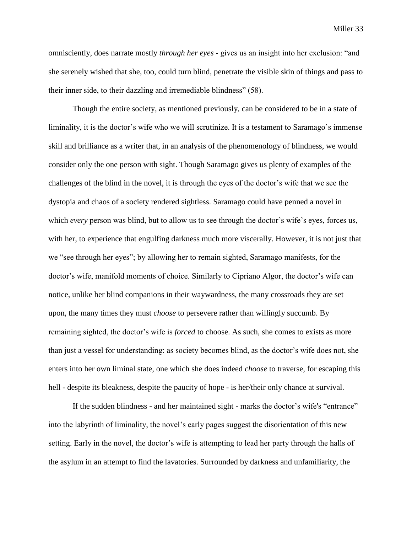omnisciently, does narrate mostly *through her eyes* - gives us an insight into her exclusion: "and she serenely wished that she, too, could turn blind, penetrate the visible skin of things and pass to their inner side, to their dazzling and irremediable blindness" (58).

Though the entire society, as mentioned previously, can be considered to be in a state of liminality, it is the doctor's wife who we will scrutinize. It is a testament to Saramago's immense skill and brilliance as a writer that, in an analysis of the phenomenology of blindness, we would consider only the one person with sight. Though Saramago gives us plenty of examples of the challenges of the blind in the novel, it is through the eyes of the doctor's wife that we see the dystopia and chaos of a society rendered sightless. Saramago could have penned a novel in which *every* person was blind, but to allow us to see through the doctor's wife's eyes, forces us, with her, to experience that engulfing darkness much more viscerally. However, it is not just that we "see through her eyes"; by allowing her to remain sighted, Saramago manifests, for the doctor's wife, manifold moments of choice. Similarly to Cipriano Algor, the doctor's wife can notice, unlike her blind companions in their waywardness, the many crossroads they are set upon, the many times they must *choose* to persevere rather than willingly succumb. By remaining sighted, the doctor's wife is *forced* to choose. As such, she comes to exists as more than just a vessel for understanding: as society becomes blind, as the doctor's wife does not, she enters into her own liminal state, one which she does indeed *choose* to traverse, for escaping this hell - despite its bleakness, despite the paucity of hope - is her/their only chance at survival.

If the sudden blindness - and her maintained sight - marks the doctor's wife's "entrance" into the labyrinth of liminality, the novel's early pages suggest the disorientation of this new setting. Early in the novel, the doctor's wife is attempting to lead her party through the halls of the asylum in an attempt to find the lavatories. Surrounded by darkness and unfamiliarity, the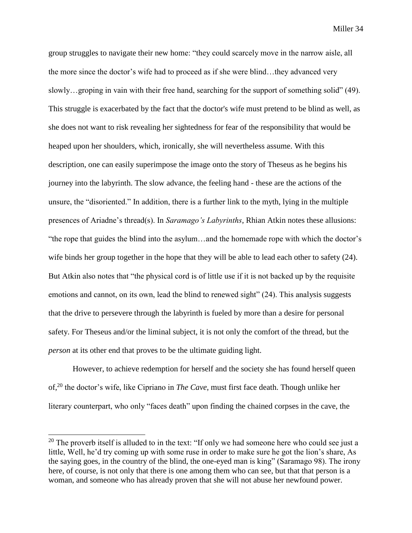group struggles to navigate their new home: "they could scarcely move in the narrow aisle, all the more since the doctor's wife had to proceed as if she were blind…they advanced very slowly…groping in vain with their free hand, searching for the support of something solid" (49). This struggle is exacerbated by the fact that the doctor's wife must pretend to be blind as well, as she does not want to risk revealing her sightedness for fear of the responsibility that would be heaped upon her shoulders, which, ironically, she will nevertheless assume. With this description, one can easily superimpose the image onto the story of Theseus as he begins his journey into the labyrinth. The slow advance, the feeling hand - these are the actions of the unsure, the "disoriented." In addition, there is a further link to the myth, lying in the multiple presences of Ariadne's thread(s). In *Saramago's Labyrinths*, Rhian Atkin notes these allusions: "the rope that guides the blind into the asylum…and the homemade rope with which the doctor's wife binds her group together in the hope that they will be able to lead each other to safety (24). But Atkin also notes that "the physical cord is of little use if it is not backed up by the requisite emotions and cannot, on its own, lead the blind to renewed sight" (24). This analysis suggests that the drive to persevere through the labyrinth is fueled by more than a desire for personal safety. For Theseus and/or the liminal subject, it is not only the comfort of the thread, but the *person* at its other end that proves to be the ultimate guiding light.

However, to achieve redemption for herself and the society she has found herself queen of,<sup>20</sup> the doctor's wife, like Cipriano in *The Cave*, must first face death. Though unlike her literary counterpart, who only "faces death" upon finding the chained corpses in the cave, the

 $20$  The proverb itself is alluded to in the text: "If only we had someone here who could see just a little, Well, he'd try coming up with some ruse in order to make sure he got the lion's share, As the saying goes, in the country of the blind, the one-eyed man is king" (Saramago 98). The irony here, of course, is not only that there is one among them who can see, but that that person is a woman, and someone who has already proven that she will not abuse her newfound power.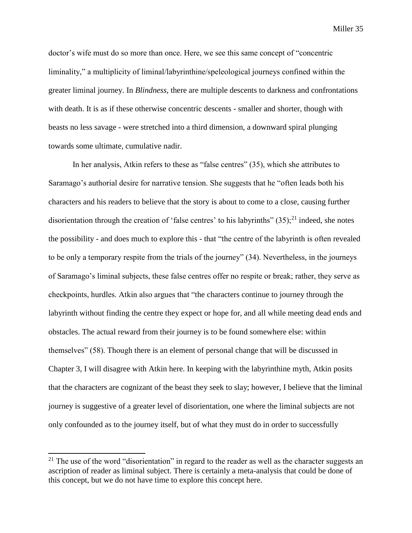doctor's wife must do so more than once. Here, we see this same concept of "concentric liminality," a multiplicity of liminal/labyrinthine/speleological journeys confined within the greater liminal journey. In *Blindness*, there are multiple descents to darkness and confrontations with death. It is as if these otherwise concentric descents - smaller and shorter, though with beasts no less savage - were stretched into a third dimension, a downward spiral plunging towards some ultimate, cumulative nadir.

In her analysis, Atkin refers to these as "false centres" (35), which she attributes to Saramago's authorial desire for narrative tension. She suggests that he "often leads both his characters and his readers to believe that the story is about to come to a close, causing further disorientation through the creation of 'false centres' to his labyrinths"  $(35)$ ;<sup>21</sup> indeed, she notes the possibility - and does much to explore this - that "the centre of the labyrinth is often revealed to be only a temporary respite from the trials of the journey" (34). Nevertheless, in the journeys of Saramago's liminal subjects, these false centres offer no respite or break; rather, they serve as checkpoints, hurdles. Atkin also argues that "the characters continue to journey through the labyrinth without finding the centre they expect or hope for, and all while meeting dead ends and obstacles. The actual reward from their journey is to be found somewhere else: within themselves" (58). Though there is an element of personal change that will be discussed in Chapter 3, I will disagree with Atkin here. In keeping with the labyrinthine myth, Atkin posits that the characters are cognizant of the beast they seek to slay; however, I believe that the liminal journey is suggestive of a greater level of disorientation, one where the liminal subjects are not only confounded as to the journey itself, but of what they must do in order to successfully

 $21$  The use of the word "disorientation" in regard to the reader as well as the character suggests an ascription of reader as liminal subject. There is certainly a meta-analysis that could be done of this concept, but we do not have time to explore this concept here.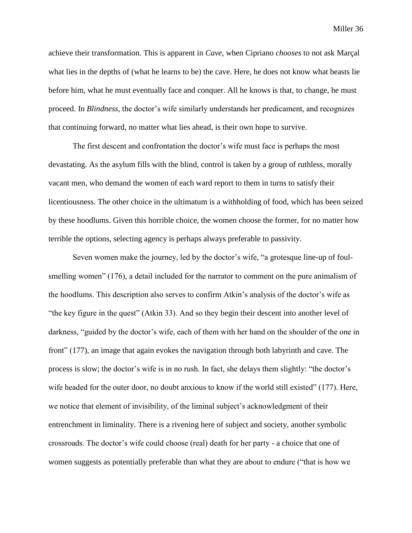achieve their transformation. This is apparent in *Cave*, when Cipriano *chooses* to not ask Marçal what lies in the depths of (what he learns to be) the cave. Here, he does not know what beasts lie before him, what he must eventually face and conquer. All he knows is that, to change, he must proceed. In *Blindness*, the doctor's wife similarly understands her predicament, and recognizes that continuing forward, no matter what lies ahead, is their own hope to survive.

The first descent and confrontation the doctor's wife must face is perhaps the most devastating. As the asylum fills with the blind, control is taken by a group of ruthless, morally vacant men, who demand the women of each ward report to them in turns to satisfy their licentiousness. The other choice in the ultimatum is a withholding of food, which has been seized by these hoodlums. Given this horrible choice, the women choose the former, for no matter how terrible the options, selecting agency is perhaps always preferable to passivity.

Seven women make the journey, led by the doctor's wife, "a grotesque line-up of foulsmelling women" (176), a detail included for the narrator to comment on the pure animalism of the hoodlums. This description also serves to confirm Atkin's analysis of the doctor's wife as "the key figure in the quest" (Atkin 33). And so they begin their descent into another level of darkness, "guided by the doctor's wife, each of them with her hand on the shoulder of the one in front" (177), an image that again evokes the navigation through both labyrinth and cave. The process is slow; the doctor's wife is in no rush. In fact, she delays them slightly: "the doctor's wife headed for the outer door, no doubt anxious to know if the world still existed" (177). Here, we notice that element of invisibility, of the liminal subject's acknowledgment of their entrenchment in liminality. There is a rivening here of subject and society, another symbolic crossroads. The doctor's wife could choose (real) death for her party - a choice that one of women suggests as potentially preferable than what they are about to endure ("that is how we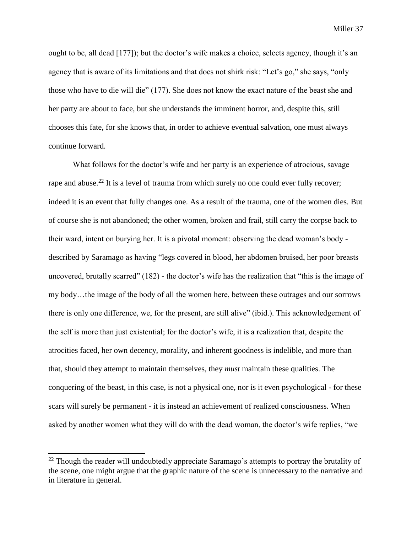ought to be, all dead [177]); but the doctor's wife makes a choice, selects agency, though it's an agency that is aware of its limitations and that does not shirk risk: "Let's go," she says, "only those who have to die will die" (177). She does not know the exact nature of the beast she and her party are about to face, but she understands the imminent horror, and, despite this, still chooses this fate, for she knows that, in order to achieve eventual salvation, one must always continue forward.

What follows for the doctor's wife and her party is an experience of atrocious, savage rape and abuse.<sup>22</sup> It is a level of trauma from which surely no one could ever fully recover; indeed it is an event that fully changes one. As a result of the trauma, one of the women dies. But of course she is not abandoned; the other women, broken and frail, still carry the corpse back to their ward, intent on burying her. It is a pivotal moment: observing the dead woman's body described by Saramago as having "legs covered in blood, her abdomen bruised, her poor breasts uncovered, brutally scarred" (182) - the doctor's wife has the realization that "this is the image of my body…the image of the body of all the women here, between these outrages and our sorrows there is only one difference, we, for the present, are still alive" (ibid.). This acknowledgement of the self is more than just existential; for the doctor's wife, it is a realization that, despite the atrocities faced, her own decency, morality, and inherent goodness is indelible, and more than that, should they attempt to maintain themselves, they *must* maintain these qualities. The conquering of the beast, in this case, is not a physical one, nor is it even psychological - for these scars will surely be permanent - it is instead an achievement of realized consciousness. When asked by another women what they will do with the dead woman, the doctor's wife replies, "we

 $^{22}$  Though the reader will undoubtedly appreciate Saramago's attempts to portray the brutality of the scene, one might argue that the graphic nature of the scene is unnecessary to the narrative and in literature in general.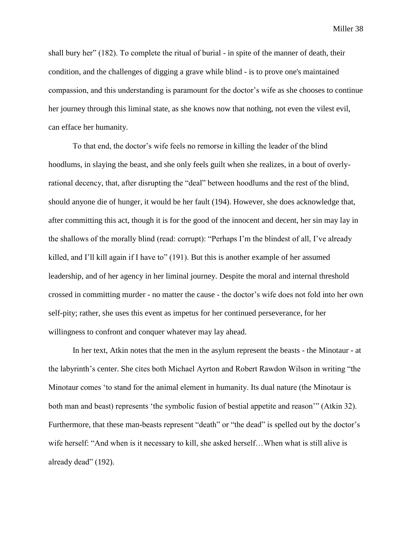shall bury her" (182). To complete the ritual of burial - in spite of the manner of death, their condition, and the challenges of digging a grave while blind - is to prove one's maintained compassion, and this understanding is paramount for the doctor's wife as she chooses to continue her journey through this liminal state, as she knows now that nothing, not even the vilest evil, can efface her humanity.

To that end, the doctor's wife feels no remorse in killing the leader of the blind hoodlums, in slaying the beast, and she only feels guilt when she realizes, in a bout of overlyrational decency, that, after disrupting the "deal" between hoodlums and the rest of the blind, should anyone die of hunger, it would be her fault (194). However, she does acknowledge that, after committing this act, though it is for the good of the innocent and decent, her sin may lay in the shallows of the morally blind (read: corrupt): "Perhaps I'm the blindest of all, I've already killed, and I'll kill again if I have to" (191). But this is another example of her assumed leadership, and of her agency in her liminal journey. Despite the moral and internal threshold crossed in committing murder - no matter the cause - the doctor's wife does not fold into her own self-pity; rather, she uses this event as impetus for her continued perseverance, for her willingness to confront and conquer whatever may lay ahead.

In her text, Atkin notes that the men in the asylum represent the beasts - the Minotaur - at the labyrinth's center. She cites both Michael Ayrton and Robert Rawdon Wilson in writing "the Minotaur comes 'to stand for the animal element in humanity. Its dual nature (the Minotaur is both man and beast) represents 'the symbolic fusion of bestial appetite and reason'" (Atkin 32). Furthermore, that these man-beasts represent "death" or "the dead" is spelled out by the doctor's wife herself: "And when is it necessary to kill, she asked herself…When what is still alive is already dead" (192).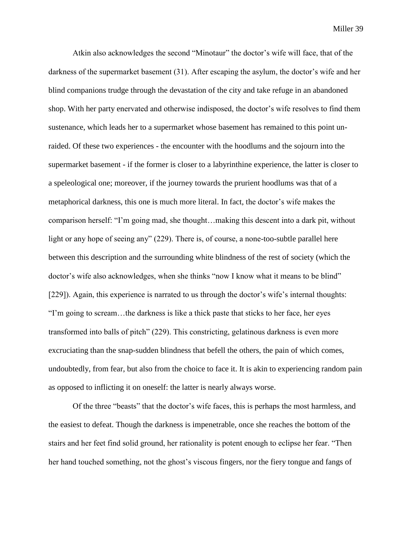Atkin also acknowledges the second "Minotaur" the doctor's wife will face, that of the darkness of the supermarket basement (31). After escaping the asylum, the doctor's wife and her blind companions trudge through the devastation of the city and take refuge in an abandoned shop. With her party enervated and otherwise indisposed, the doctor's wife resolves to find them sustenance, which leads her to a supermarket whose basement has remained to this point unraided. Of these two experiences - the encounter with the hoodlums and the sojourn into the supermarket basement - if the former is closer to a labyrinthine experience, the latter is closer to a speleological one; moreover, if the journey towards the prurient hoodlums was that of a metaphorical darkness, this one is much more literal. In fact, the doctor's wife makes the comparison herself: "I'm going mad, she thought…making this descent into a dark pit, without light or any hope of seeing any" (229). There is, of course, a none-too-subtle parallel here between this description and the surrounding white blindness of the rest of society (which the doctor's wife also acknowledges, when she thinks "now I know what it means to be blind" [229]). Again, this experience is narrated to us through the doctor's wife's internal thoughts: "I'm going to scream…the darkness is like a thick paste that sticks to her face, her eyes transformed into balls of pitch" (229). This constricting, gelatinous darkness is even more excruciating than the snap-sudden blindness that befell the others, the pain of which comes, undoubtedly, from fear, but also from the choice to face it. It is akin to experiencing random pain as opposed to inflicting it on oneself: the latter is nearly always worse.

Of the three "beasts" that the doctor's wife faces, this is perhaps the most harmless, and the easiest to defeat. Though the darkness is impenetrable, once she reaches the bottom of the stairs and her feet find solid ground, her rationality is potent enough to eclipse her fear. "Then her hand touched something, not the ghost's viscous fingers, nor the fiery tongue and fangs of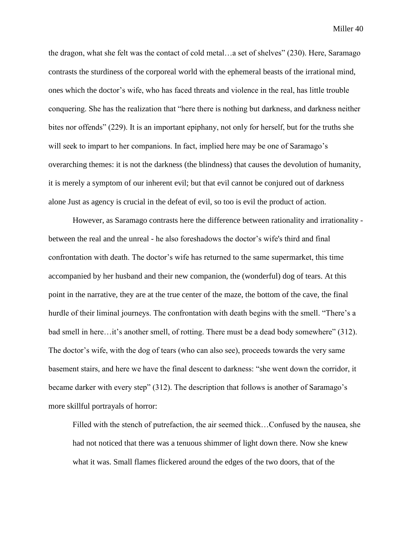the dragon, what she felt was the contact of cold metal…a set of shelves" (230). Here, Saramago contrasts the sturdiness of the corporeal world with the ephemeral beasts of the irrational mind, ones which the doctor's wife, who has faced threats and violence in the real, has little trouble conquering. She has the realization that "here there is nothing but darkness, and darkness neither bites nor offends" (229). It is an important epiphany, not only for herself, but for the truths she will seek to impart to her companions. In fact, implied here may be one of Saramago's overarching themes: it is not the darkness (the blindness) that causes the devolution of humanity, it is merely a symptom of our inherent evil; but that evil cannot be conjured out of darkness alone Just as agency is crucial in the defeat of evil, so too is evil the product of action.

However, as Saramago contrasts here the difference between rationality and irrationality between the real and the unreal - he also foreshadows the doctor's wife's third and final confrontation with death. The doctor's wife has returned to the same supermarket, this time accompanied by her husband and their new companion, the (wonderful) dog of tears. At this point in the narrative, they are at the true center of the maze, the bottom of the cave, the final hurdle of their liminal journeys. The confrontation with death begins with the smell. "There's a bad smell in here…it's another smell, of rotting. There must be a dead body somewhere" (312). The doctor's wife, with the dog of tears (who can also see), proceeds towards the very same basement stairs, and here we have the final descent to darkness: "she went down the corridor, it became darker with every step" (312). The description that follows is another of Saramago's more skillful portrayals of horror:

Filled with the stench of putrefaction, the air seemed thick…Confused by the nausea, she had not noticed that there was a tenuous shimmer of light down there. Now she knew what it was. Small flames flickered around the edges of the two doors, that of the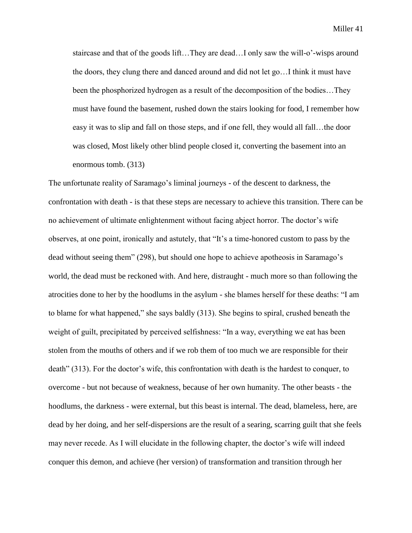staircase and that of the goods lift…They are dead…I only saw the will-o'-wisps around the doors, they clung there and danced around and did not let go…I think it must have been the phosphorized hydrogen as a result of the decomposition of the bodies…They must have found the basement, rushed down the stairs looking for food, I remember how easy it was to slip and fall on those steps, and if one fell, they would all fall…the door was closed, Most likely other blind people closed it, converting the basement into an enormous tomb. (313)

The unfortunate reality of Saramago's liminal journeys - of the descent to darkness, the confrontation with death - is that these steps are necessary to achieve this transition. There can be no achievement of ultimate enlightenment without facing abject horror. The doctor's wife observes, at one point, ironically and astutely, that "It's a time-honored custom to pass by the dead without seeing them" (298), but should one hope to achieve apotheosis in Saramago's world, the dead must be reckoned with. And here, distraught - much more so than following the atrocities done to her by the hoodlums in the asylum - she blames herself for these deaths: "I am to blame for what happened," she says baldly (313). She begins to spiral, crushed beneath the weight of guilt, precipitated by perceived selfishness: "In a way, everything we eat has been stolen from the mouths of others and if we rob them of too much we are responsible for their death" (313). For the doctor's wife, this confrontation with death is the hardest to conquer, to overcome - but not because of weakness, because of her own humanity. The other beasts - the hoodlums, the darkness - were external, but this beast is internal. The dead, blameless, here, are dead by her doing, and her self-dispersions are the result of a searing, scarring guilt that she feels may never recede. As I will elucidate in the following chapter, the doctor's wife will indeed conquer this demon, and achieve (her version) of transformation and transition through her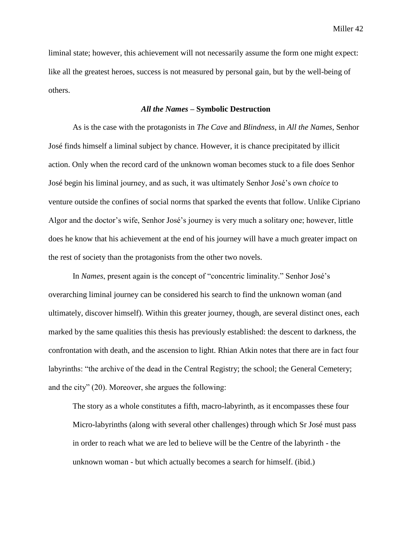liminal state; however, this achievement will not necessarily assume the form one might expect: like all the greatest heroes, success is not measured by personal gain, but by the well-being of others.

## *All the Names* **– Symbolic Destruction**

As is the case with the protagonists in *The Cave* and *Blindness*, in *All the Names*, Senhor José finds himself a liminal subject by chance. However, it is chance precipitated by illicit action. Only when the record card of the unknown woman becomes stuck to a file does Senhor José begin his liminal journey, and as such, it was ultimately Senhor José's own *choice* to venture outside the confines of social norms that sparked the events that follow. Unlike Cipriano Algor and the doctor's wife, Senhor José's journey is very much a solitary one; however, little does he know that his achievement at the end of his journey will have a much greater impact on the rest of society than the protagonists from the other two novels.

In *Names*, present again is the concept of "concentric liminality." Senhor José's overarching liminal journey can be considered his search to find the unknown woman (and ultimately, discover himself). Within this greater journey, though, are several distinct ones, each marked by the same qualities this thesis has previously established: the descent to darkness, the confrontation with death, and the ascension to light. Rhian Atkin notes that there are in fact four labyrinths: "the archive of the dead in the Central Registry; the school; the General Cemetery; and the city" (20). Moreover, she argues the following:

The story as a whole constitutes a fifth, macro-labyrinth, as it encompasses these four Micro-labyrinths (along with several other challenges) through which Sr José must pass in order to reach what we are led to believe will be the Centre of the labyrinth - the unknown woman - but which actually becomes a search for himself. (ibid.)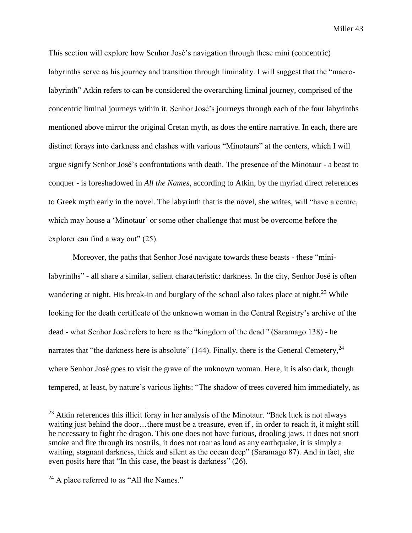This section will explore how Senhor José's navigation through these mini (concentric) labyrinths serve as his journey and transition through liminality. I will suggest that the "macrolabyrinth" Atkin refers to can be considered the overarching liminal journey, comprised of the concentric liminal journeys within it. Senhor José's journeys through each of the four labyrinths mentioned above mirror the original Cretan myth, as does the entire narrative. In each, there are distinct forays into darkness and clashes with various "Minotaurs" at the centers, which I will argue signify Senhor José's confrontations with death. The presence of the Minotaur - a beast to conquer - is foreshadowed in *All the Names*, according to Atkin, by the myriad direct references to Greek myth early in the novel. The labyrinth that is the novel, she writes, will "have a centre, which may house a 'Minotaur' or some other challenge that must be overcome before the explorer can find a way out" (25).

Moreover, the paths that Senhor José navigate towards these beasts - these "minilabyrinths" - all share a similar, salient characteristic: darkness. In the city, Senhor José is often wandering at night. His break-in and burglary of the school also takes place at night.<sup>23</sup> While looking for the death certificate of the unknown woman in the Central Registry's archive of the dead - what Senhor José refers to here as the "kingdom of the dead '' (Saramago 138) - he narrates that "the darkness here is absolute" (144). Finally, there is the General Cemetery,  $^{24}$ where Senhor José goes to visit the grave of the unknown woman. Here, it is also dark, though tempered, at least, by nature's various lights: "The shadow of trees covered him immediately, as

 $23$  Atkin references this illicit foray in her analysis of the Minotaur. "Back luck is not always waiting just behind the door…there must be a treasure, even if , in order to reach it, it might still be necessary to fight the dragon. This one does not have furious, drooling jaws, it does not snort smoke and fire through its nostrils, it does not roar as loud as any earthquake, it is simply a waiting, stagnant darkness, thick and silent as the ocean deep" (Saramago 87). And in fact, she even posits here that "In this case, the beast is darkness" (26).

 $24$  A place referred to as "All the Names."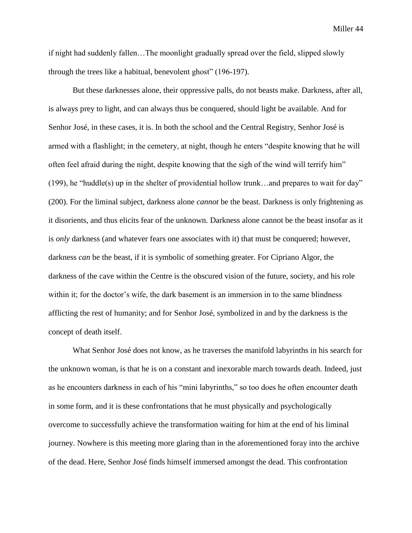if night had suddenly fallen…The moonlight gradually spread over the field, slipped slowly through the trees like a habitual, benevolent ghost" (196-197).

But these darknesses alone, their oppressive palls, do not beasts make. Darkness, after all, is always prey to light, and can always thus be conquered, should light be available. And for Senhor José, in these cases, it is. In both the school and the Central Registry, Senhor José is armed with a flashlight; in the cemetery, at night, though he enters "despite knowing that he will often feel afraid during the night, despite knowing that the sigh of the wind will terrify him" (199), he "huddle(s) up in the shelter of providential hollow trunk...and prepares to wait for day" (200). For the liminal subject, darkness alone *cannot* be the beast. Darkness is only frightening as it disorients, and thus elicits fear of the unknown. Darkness alone cannot be the beast insofar as it is *only* darkness (and whatever fears one associates with it) that must be conquered; however, darkness *can* be the beast, if it is symbolic of something greater. For Cipriano Algor, the darkness of the cave within the Centre is the obscured vision of the future, society, and his role within it; for the doctor's wife, the dark basement is an immersion in to the same blindness afflicting the rest of humanity; and for Senhor José, symbolized in and by the darkness is the concept of death itself.

What Senhor José does not know, as he traverses the manifold labyrinths in his search for the unknown woman, is that he is on a constant and inexorable march towards death. Indeed, just as he encounters darkness in each of his "mini labyrinths," so too does he often encounter death in some form, and it is these confrontations that he must physically and psychologically overcome to successfully achieve the transformation waiting for him at the end of his liminal journey. Nowhere is this meeting more glaring than in the aforementioned foray into the archive of the dead. Here, Senhor José finds himself immersed amongst the dead. This confrontation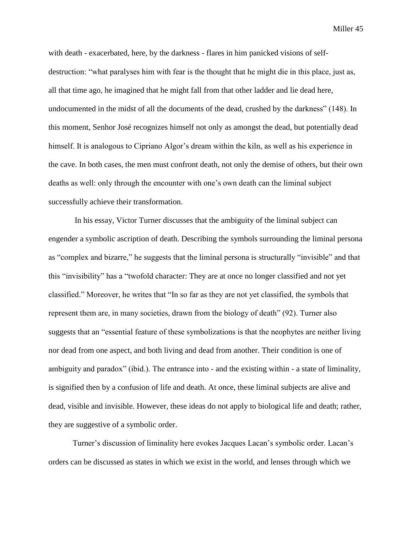with death - exacerbated, here, by the darkness - flares in him panicked visions of selfdestruction: "what paralyses him with fear is the thought that he might die in this place, just as, all that time ago, he imagined that he might fall from that other ladder and lie dead here, undocumented in the midst of all the documents of the dead, crushed by the darkness" (148). In this moment, Senhor José recognizes himself not only as amongst the dead, but potentially dead himself. It is analogous to Cipriano Algor's dream within the kiln, as well as his experience in the cave. In both cases, the men must confront death, not only the demise of others, but their own deaths as well: only through the encounter with one's own death can the liminal subject successfully achieve their transformation.

In his essay, Victor Turner discusses that the ambiguity of the liminal subject can engender a symbolic ascription of death. Describing the symbols surrounding the liminal persona as "complex and bizarre," he suggests that the liminal persona is structurally "invisible" and that this "invisibility" has a "twofold character: They are at once no longer classified and not yet classified." Moreover, he writes that "In so far as they are not yet classified, the symbols that represent them are, in many societies, drawn from the biology of death" (92). Turner also suggests that an "essential feature of these symbolizations is that the neophytes are neither living nor dead from one aspect, and both living and dead from another. Their condition is one of ambiguity and paradox" (ibid.). The entrance into - and the existing within - a state of liminality, is signified then by a confusion of life and death. At once, these liminal subjects are alive and dead, visible and invisible. However, these ideas do not apply to biological life and death; rather, they are suggestive of a symbolic order.

Turner's discussion of liminality here evokes Jacques Lacan's symbolic order. Lacan's orders can be discussed as states in which we exist in the world, and lenses through which we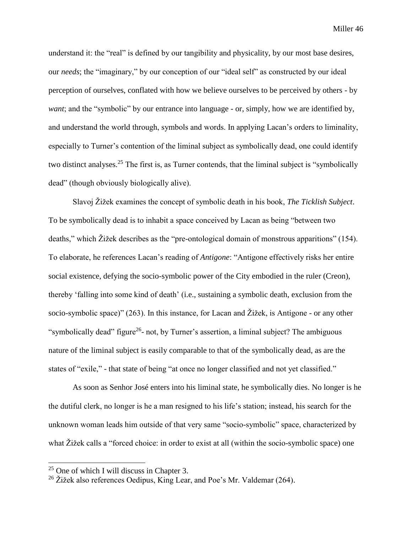understand it: the "real" is defined by our tangibility and physicality, by our most base desires, our *needs*; the "imaginary," by our conception of our "ideal self" as constructed by our ideal perception of ourselves, conflated with how we believe ourselves to be perceived by others - by *want*; and the "symbolic" by our entrance into language - or, simply, how we are identified by, and understand the world through, symbols and words. In applying Lacan's orders to liminality, especially to Turner's contention of the liminal subject as symbolically dead, one could identify two distinct analyses.<sup>25</sup> The first is, as Turner contends, that the liminal subject is "symbolically dead" (though obviously biologically alive).

Slavoj Žižek examines the concept of symbolic death in his book, *The Ticklish Subject*. To be symbolically dead is to inhabit a space conceived by Lacan as being "between two deaths," which Žižek describes as the "pre-ontological domain of monstrous apparitions" (154). To elaborate, he references Lacan's reading of *Antigone*: "Antigone effectively risks her entire social existence, defying the socio-symbolic power of the City embodied in the ruler (Creon), thereby 'falling into some kind of death' (i.e., sustaining a symbolic death, exclusion from the socio-symbolic space)" (263). In this instance, for Lacan and Žižek, is Antigone - or any other "symbolically dead" figure<sup>26</sup>- not, by Turner's assertion, a liminal subject? The ambiguous nature of the liminal subject is easily comparable to that of the symbolically dead, as are the states of "exile," - that state of being "at once no longer classified and not yet classified."

As soon as Senhor José enters into his liminal state, he symbolically dies. No longer is he the dutiful clerk, no longer is he a man resigned to his life's station; instead, his search for the unknown woman leads him outside of that very same "socio-symbolic" space, characterized by what Žižek calls a "forced choice: in order to exist at all (within the socio-symbolic space) one

 $25$  One of which I will discuss in Chapter 3.

<sup>&</sup>lt;sup>26</sup> Žižek also references Oedipus, King Lear, and Poe's Mr. Valdemar (264).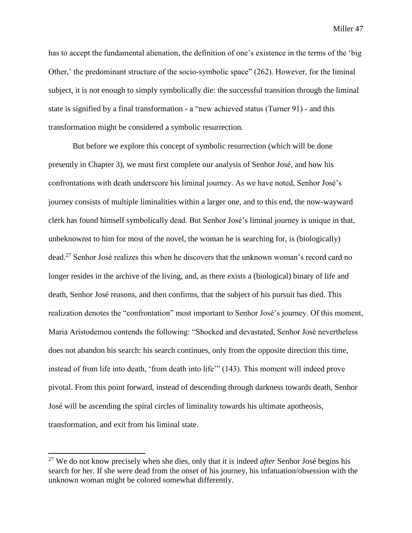has to accept the fundamental alienation, the definition of one's existence in the terms of the 'big Other,' the predominant structure of the socio-symbolic space" (262). However, for the liminal subject, it is not enough to simply symbolically die: the successful transition through the liminal state is signified by a final transformation - a "new achieved status (Turner 91) - and this transformation might be considered a symbolic resurrection.

But before we explore this concept of symbolic resurrection (which will be done presently in Chapter 3), we must first complete our analysis of Senhor José, and how his confrontations with death underscore his liminal journey. As we have noted, Senhor José's journey consists of multiple liminalities within a larger one, and to this end, the now-wayward clerk has found himself symbolically dead. But Senhor José's liminal journey is unique in that, unbeknownst to him for most of the novel, the woman he is searching for, is (biologically) dead.<sup>27</sup> Senhor José realizes this when he discovers that the unknown woman's record card no longer resides in the archive of the living, and, as there exists a (biological) binary of life and death, Senhor José reasons, and then confirms, that the subject of his pursuit has died. This realization denotes the "confrontation" most important to Senhor José's journey. Of this moment, Maria Aristodemou contends the following: "Shocked and devastated, Senhor José nevertheless does not abandon his search: his search continues, only from the opposite direction this time, instead of from life into death, 'from death into life'" (143). This moment will indeed prove pivotal. From this point forward, instead of descending through darkness towards death, Senhor José will be ascending the spiral circles of liminality towards his ultimate apotheosis, transformation, and exit from his liminal state.

<sup>27</sup> We do not know precisely when she dies, only that it is indeed *after* Senhor José begins his search for her. If she were dead from the onset of his journey, his infatuation/obsession with the unknown woman might be colored somewhat differently.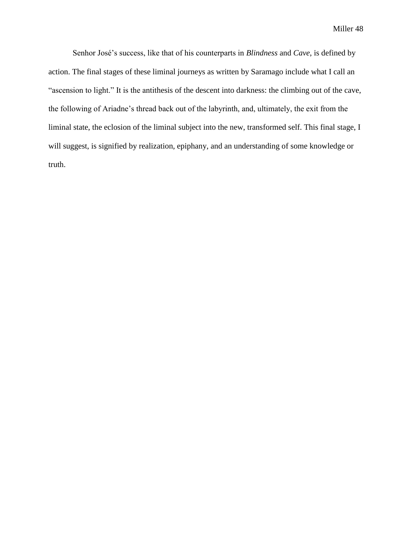Senhor José's success, like that of his counterparts in *Blindness* and *Cave*, is defined by action. The final stages of these liminal journeys as written by Saramago include what I call an "ascension to light." It is the antithesis of the descent into darkness: the climbing out of the cave, the following of Ariadne's thread back out of the labyrinth, and, ultimately, the exit from the liminal state, the eclosion of the liminal subject into the new, transformed self. This final stage, I will suggest, is signified by realization, epiphany, and an understanding of some knowledge or truth.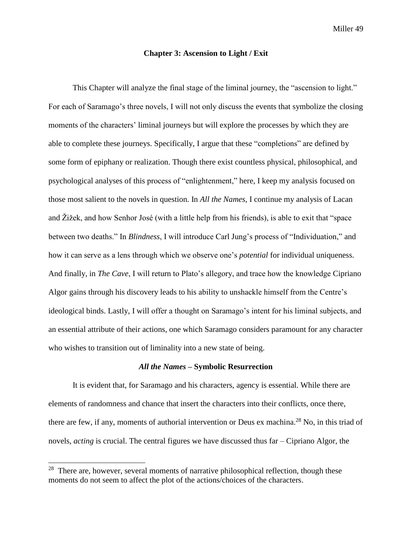## **Chapter 3: Ascension to Light / Exit**

This Chapter will analyze the final stage of the liminal journey, the "ascension to light." For each of Saramago's three novels, I will not only discuss the events that symbolize the closing moments of the characters' liminal journeys but will explore the processes by which they are able to complete these journeys. Specifically, I argue that these "completions" are defined by some form of epiphany or realization. Though there exist countless physical, philosophical, and psychological analyses of this process of "enlightenment," here, I keep my analysis focused on those most salient to the novels in question. In *All the Names,* I continue my analysis of Lacan and Žižek, and how Senhor José (with a little help from his friends), is able to exit that "space between two deaths." In *Blindness*, I will introduce Carl Jung's process of "Individuation," and how it can serve as a lens through which we observe one's *potential* for individual uniqueness. And finally, in *The Cave*, I will return to Plato's allegory, and trace how the knowledge Cipriano Algor gains through his discovery leads to his ability to unshackle himself from the Centre's ideological binds. Lastly, I will offer a thought on Saramago's intent for his liminal subjects, and an essential attribute of their actions, one which Saramago considers paramount for any character who wishes to transition out of liminality into a new state of being.

## *All the Names* **– Symbolic Resurrection**

It is evident that, for Saramago and his characters, agency is essential. While there are elements of randomness and chance that insert the characters into their conflicts, once there, there are few, if any, moments of authorial intervention or Deus ex machina.<sup>28</sup> No, in this triad of novels, *acting* is crucial. The central figures we have discussed thus far – Cipriano Algor, the

 $28$  There are, however, several moments of narrative philosophical reflection, though these moments do not seem to affect the plot of the actions/choices of the characters.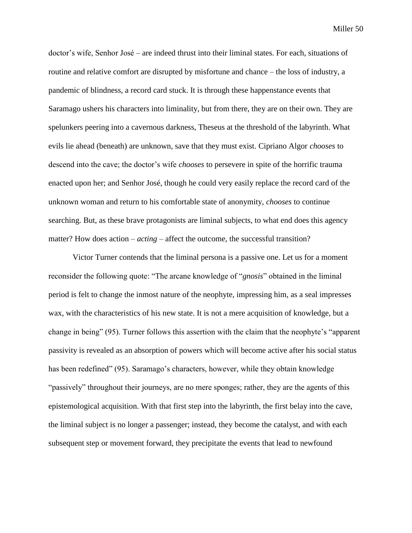doctor's wife, Senhor José – are indeed thrust into their liminal states. For each, situations of routine and relative comfort are disrupted by misfortune and chance – the loss of industry, a pandemic of blindness, a record card stuck. It is through these happenstance events that Saramago ushers his characters into liminality, but from there, they are on their own. They are spelunkers peering into a cavernous darkness, Theseus at the threshold of the labyrinth. What evils lie ahead (beneath) are unknown, save that they must exist. Cipriano Algor *chooses* to descend into the cave; the doctor's wife *chooses* to persevere in spite of the horrific trauma enacted upon her; and Senhor José, though he could very easily replace the record card of the unknown woman and return to his comfortable state of anonymity, *chooses* to continue searching. But, as these brave protagonists are liminal subjects, to what end does this agency matter? How does action – *acting* – affect the outcome, the successful transition?

Victor Turner contends that the liminal persona is a passive one. Let us for a moment reconsider the following quote: "The arcane knowledge of "*gnosis*" obtained in the liminal period is felt to change the inmost nature of the neophyte, impressing him, as a seal impresses wax, with the characteristics of his new state. It is not a mere acquisition of knowledge, but a change in being" (95). Turner follows this assertion with the claim that the neophyte's "apparent passivity is revealed as an absorption of powers which will become active after his social status has been redefined" (95). Saramago's characters, however, while they obtain knowledge "passively" throughout their journeys, are no mere sponges; rather, they are the agents of this epistemological acquisition. With that first step into the labyrinth, the first belay into the cave, the liminal subject is no longer a passenger; instead, they become the catalyst, and with each subsequent step or movement forward, they precipitate the events that lead to newfound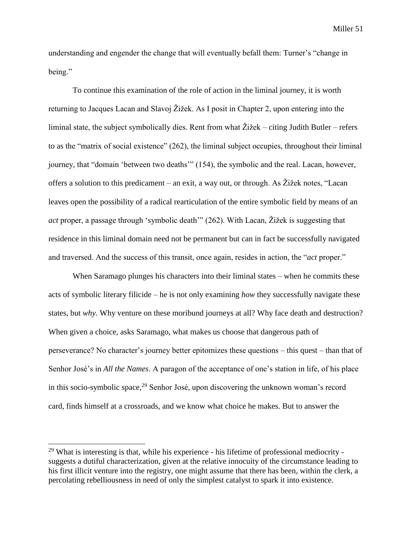understanding and engender the change that will eventually befall them: Turner's "change in being."

To continue this examination of the role of action in the liminal journey, it is worth returning to Jacques Lacan and Slavoj Žižek. As I posit in Chapter 2, upon entering into the liminal state, the subject symbolically dies. Rent from what  $\ddot{Z}$  izek – citing Judith Butler – refers to as the "matrix of social existence" (262), the liminal subject occupies, throughout their liminal journey, that "domain 'between two deaths'" (154), the symbolic and the real. Lacan, however, offers a solution to this predicament – an exit, a way out, or through. As Žižek notes, "Lacan leaves open the possibility of a radical rearticulation of the entire symbolic field by means of an *act* proper, a passage through 'symbolic death'" (262). With Lacan, Žižek is suggesting that residence in this liminal domain need not be permanent but can in fact be successfully navigated and traversed. And the success of this transit, once again, resides in action, the "*act* proper."

When Saramago plunges his characters into their liminal states – when he commits these acts of symbolic literary filicide – he is not only examining *how* they successfully navigate these states, but *why*. Why venture on these moribund journeys at all? Why face death and destruction? When given a choice, asks Saramago, what makes us choose that dangerous path of perseverance? No character's journey better epitomizes these questions – this quest – than that of Senhor José's in *All the Names*. A paragon of the acceptance of one's station in life, of his place in this socio-symbolic space,  $^{29}$  Senhor José, upon discovering the unknown woman's record card, finds himself at a crossroads, and we know what choice he makes. But to answer the

 $29$  What is interesting is that, while his experience - his lifetime of professional mediocrity suggests a dutiful characterization, given at the relative innocuity of the circumstance leading to his first illicit venture into the registry, one might assume that there has been, within the clerk, a percolating rebelliousness in need of only the simplest catalyst to spark it into existence.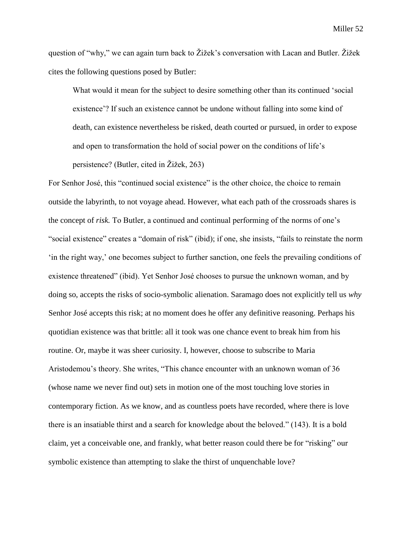question of "why," we can again turn back to Žižek's conversation with Lacan and Butler. Žižek cites the following questions posed by Butler:

What would it mean for the subject to desire something other than its continued 'social existence'? If such an existence cannot be undone without falling into some kind of death, can existence nevertheless be risked, death courted or pursued, in order to expose and open to transformation the hold of social power on the conditions of life's persistence? (Butler, cited in Žižek, 263)

For Senhor José, this "continued social existence" is the other choice, the choice to remain outside the labyrinth, to not voyage ahead. However, what each path of the crossroads shares is the concept of *risk.* To Butler, a continued and continual performing of the norms of one's "social existence" creates a "domain of risk" (ibid); if one, she insists, "fails to reinstate the norm 'in the right way,' one becomes subject to further sanction, one feels the prevailing conditions of existence threatened" (ibid). Yet Senhor José chooses to pursue the unknown woman, and by doing so, accepts the risks of socio-symbolic alienation. Saramago does not explicitly tell us *why*  Senhor José accepts this risk; at no moment does he offer any definitive reasoning. Perhaps his quotidian existence was that brittle: all it took was one chance event to break him from his routine. Or, maybe it was sheer curiosity. I, however, choose to subscribe to Maria Aristodemou's theory. She writes, "This chance encounter with an unknown woman of 36 (whose name we never find out) sets in motion one of the most touching love stories in contemporary fiction. As we know, and as countless poets have recorded, where there is love there is an insatiable thirst and a search for knowledge about the beloved." (143). It is a bold claim, yet a conceivable one, and frankly, what better reason could there be for "risking" our symbolic existence than attempting to slake the thirst of unquenchable love?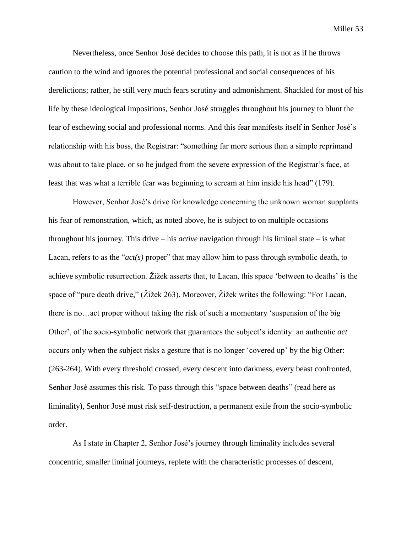Nevertheless, once Senhor José decides to choose this path, it is not as if he throws caution to the wind and ignores the potential professional and social consequences of his derelictions; rather, he still very much fears scrutiny and admonishment. Shackled for most of his life by these ideological impositions, Senhor José struggles throughout his journey to blunt the fear of eschewing social and professional norms. And this fear manifests itself in Senhor José's relationship with his boss, the Registrar: "something far more serious than a simple reprimand was about to take place, or so he judged from the severe expression of the Registrar's face, at least that was what a terrible fear was beginning to scream at him inside his head" (179).

However, Senhor José's drive for knowledge concerning the unknown woman supplants his fear of remonstration, which, as noted above, he is subject to on multiple occasions throughout his journey. This drive – his *active* navigation through his liminal state – is what Lacan, refers to as the "*act(s)* proper" that may allow him to pass through symbolic death, to achieve symbolic resurrection. Žižek asserts that, to Lacan, this space 'between to deaths' is the space of "pure death drive," (Žižek 263). Moreover, Žižek writes the following: "For Lacan, there is no…act proper without taking the risk of such a momentary 'suspension of the big Other', of the socio-symbolic network that guarantees the subject's identity: an authentic *act*  occurs only when the subject risks a gesture that is no longer 'covered up' by the big Other: (263-264). With every threshold crossed, every descent into darkness, every beast confronted, Senhor José assumes this risk. To pass through this "space between deaths" (read here as liminality), Senhor José must risk self-destruction, a permanent exile from the socio-symbolic order.

As I state in Chapter 2, Senhor José's journey through liminality includes several concentric, smaller liminal journeys, replete with the characteristic processes of descent,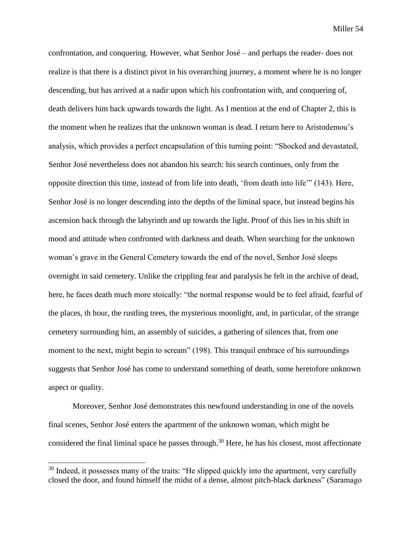confrontation, and conquering. However, what Senhor José – and perhaps the reader- does not realize is that there is a distinct pivot in his overarching journey, a moment where he is no longer descending, but has arrived at a nadir upon which his confrontation with, and conquering of, death delivers him back upwards towards the light. As I mention at the end of Chapter 2, this is the moment when he realizes that the unknown woman is dead. I return here to Aristodemou's analysis, which provides a perfect encapsulation of this turning point: "Shocked and devastated, Senhor José nevertheless does not abandon his search: his search continues, only from the opposite direction this time, instead of from life into death, 'from death into life'" (143). Here, Senhor José is no longer descending into the depths of the liminal space, but instead begins his ascension back through the labyrinth and up towards the light. Proof of this lies in his shift in mood and attitude when confronted with darkness and death. When searching for the unknown woman's grave in the General Cemetery towards the end of the novel, Senhor José sleeps overnight in said cemetery. Unlike the crippling fear and paralysis he felt in the archive of dead, here, he faces death much more stoically: "the normal response would be to feel afraid, fearful of the places, th hour, the rustling trees, the mysterious moonlight, and, in particular, of the strange cemetery surrounding him, an assembly of suicides, a gathering of silences that, from one moment to the next, might begin to scream" (198). This tranquil embrace of his surroundings suggests that Senhor José has come to understand something of death, some heretofore unknown aspect or quality.

Moreover, Senhor José demonstrates this newfound understanding in one of the novels final scenes, Senhor José enters the apartment of the unknown woman, which might be considered the final liminal space he passes through.<sup>30</sup> Here, he has his closest, most affectionate

 $30$  Indeed, it possesses many of the traits: "He slipped quickly into the apartment, very carefully closed the door, and found himself the midst of a dense, almost pitch-black darkness" (Saramago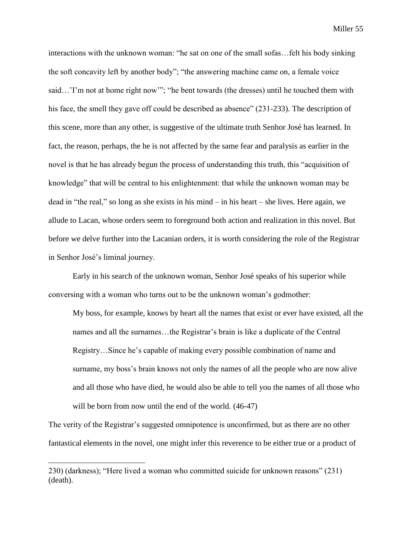interactions with the unknown woman: "he sat on one of the small sofas…felt his body sinking the soft concavity left by another body"; "the answering machine came on, a female voice said…'I'm not at home right now'"; "he bent towards (the dresses) until he touched them with his face, the smell they gave off could be described as absence" (231-233). The description of this scene, more than any other, is suggestive of the ultimate truth Senhor José has learned. In fact, the reason, perhaps, the he is not affected by the same fear and paralysis as earlier in the novel is that he has already begun the process of understanding this truth, this "acquisition of knowledge" that will be central to his enlightenment: that while the unknown woman may be dead in "the real," so long as she exists in his mind – in his heart – she lives. Here again, we allude to Lacan, whose orders seem to foreground both action and realization in this novel. But before we delve further into the Lacanian orders, it is worth considering the role of the Registrar in Senhor José's liminal journey.

Early in his search of the unknown woman, Senhor José speaks of his superior while conversing with a woman who turns out to be the unknown woman's godmother:

My boss, for example, knows by heart all the names that exist or ever have existed, all the names and all the surnames…the Registrar's brain is like a duplicate of the Central Registry…Since he's capable of making every possible combination of name and surname, my boss's brain knows not only the names of all the people who are now alive and all those who have died, he would also be able to tell you the names of all those who will be born from now until the end of the world.  $(46-47)$ 

The verity of the Registrar's suggested omnipotence is unconfirmed, but as there are no other fantastical elements in the novel, one might infer this reverence to be either true or a product of

<sup>230) (</sup>darkness); "Here lived a woman who committed suicide for unknown reasons" (231) (death).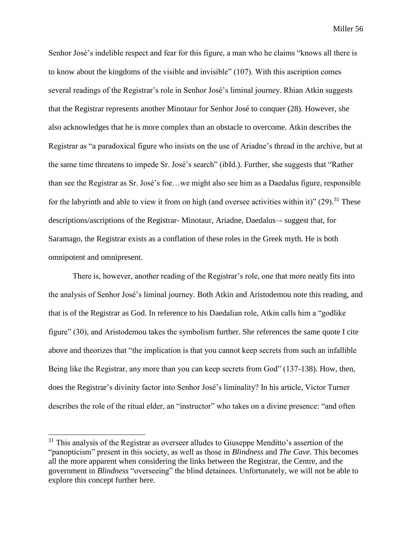Senhor José's indelible respect and fear for this figure, a man who he claims "knows all there is to know about the kingdoms of the visible and invisible" (107). With this ascription comes several readings of the Registrar's role in Senhor José's liminal journey. Rhian Atkin suggests that the Registrar represents another Minotaur for Senhor José to conquer (28). However, she also acknowledges that he is more complex than an obstacle to overcome. Atkin describes the Registrar as "a paradoxical figure who insists on the use of Ariadne's thread in the archive, but at the same time threatens to impede Sr. José's search" (ibId.). Further, she suggests that "Rather than see the Registrar as Sr. José's foe…we might also see him as a Daedalus figure, responsible for the labyrinth and able to view it from on high (and oversee activities within it)"  $(29)$ .<sup>31</sup> These descriptions/ascriptions of the Registrar- Minotaur, Ariadne, Daedalus–- suggest that, for Saramago, the Registrar exists as a conflation of these roles in the Greek myth. He is both omnipotent and omnipresent.

There is, however, another reading of the Registrar's role, one that more neatly fits into the analysis of Senhor José's liminal journey. Both Atkin and Aristodemou note this reading, and that is of the Registrar as God. In reference to his Daedalian role, Atkin calls him a "godlike figure" (30), and Aristodemou takes the symbolism further. She references the same quote I cite above and theorizes that "the implication is that you cannot keep secrets from such an infallible Being like the Registrar, any more than you can keep secrets from God" (137-138). How, then, does the Registrar's divinity factor into Senhor José's liminality? In his article, Victor Turner describes the role of the ritual elder, an "instructor" who takes on a divine presence: "and often

 $31$  This analysis of the Registrar as overseer alludes to Giuseppe Menditto's assertion of the "panopticism" present in this society, as well as those in *Blindness* and *The Cave*. This becomes all the more apparent when considering the links between the Registrar, the Centre, and the government in *Blindness* "overseeing" the blind detainees. Unfortunately, we will not be able to explore this concept further here.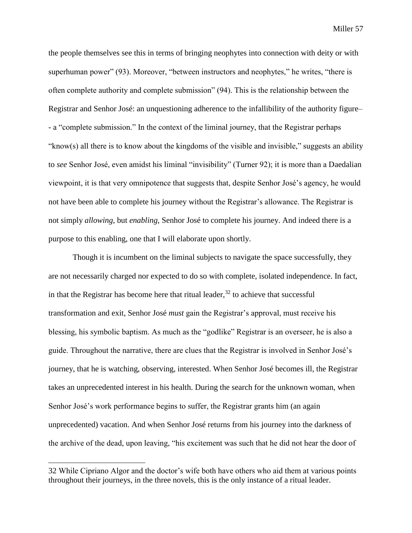the people themselves see this in terms of bringing neophytes into connection with deity or with superhuman power" (93). Moreover, "between instructors and neophytes," he writes, "there is often complete authority and complete submission" (94). This is the relationship between the Registrar and Senhor José: an unquestioning adherence to the infallibility of the authority figure– - a "complete submission." In the context of the liminal journey, that the Registrar perhaps "know(s) all there is to know about the kingdoms of the visible and invisible," suggests an ability to *see* Senhor José, even amidst his liminal "invisibility" (Turner 92); it is more than a Daedalian viewpoint, it is that very omnipotence that suggests that, despite Senhor José's agency, he would not have been able to complete his journey without the Registrar's allowance. The Registrar is not simply *allowing*, but *enabling*, Senhor José to complete his journey. And indeed there is a purpose to this enabling, one that I will elaborate upon shortly.

Though it is incumbent on the liminal subjects to navigate the space successfully, they are not necessarily charged nor expected to do so with complete, isolated independence. In fact, in that the Registrar has become here that ritual leader,  $32$  to achieve that successful transformation and exit, Senhor José *must* gain the Registrar's approval, must receive his blessing, his symbolic baptism. As much as the "godlike" Registrar is an overseer, he is also a guide. Throughout the narrative, there are clues that the Registrar is involved in Senhor José's journey, that he is watching, observing, interested. When Senhor José becomes ill, the Registrar takes an unprecedented interest in his health. During the search for the unknown woman, when Senhor José's work performance begins to suffer, the Registrar grants him (an again unprecedented) vacation. And when Senhor José returns from his journey into the darkness of the archive of the dead, upon leaving, "his excitement was such that he did not hear the door of

<sup>32</sup> While Cipriano Algor and the doctor's wife both have others who aid them at various points throughout their journeys, in the three novels, this is the only instance of a ritual leader.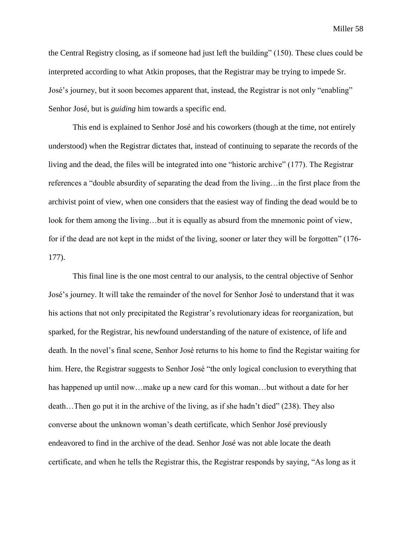the Central Registry closing, as if someone had just left the building" (150). These clues could be interpreted according to what Atkin proposes, that the Registrar may be trying to impede Sr. José's journey, but it soon becomes apparent that, instead, the Registrar is not only "enabling" Senhor José, but is *guiding* him towards a specific end.

This end is explained to Senhor José and his coworkers (though at the time, not entirely understood) when the Registrar dictates that, instead of continuing to separate the records of the living and the dead, the files will be integrated into one "historic archive" (177). The Registrar references a "double absurdity of separating the dead from the living…in the first place from the archivist point of view, when one considers that the easiest way of finding the dead would be to look for them among the living...but it is equally as absurd from the mnemonic point of view, for if the dead are not kept in the midst of the living, sooner or later they will be forgotten" (176- 177).

This final line is the one most central to our analysis, to the central objective of Senhor José's journey. It will take the remainder of the novel for Senhor José to understand that it was his actions that not only precipitated the Registrar's revolutionary ideas for reorganization, but sparked, for the Registrar, his newfound understanding of the nature of existence, of life and death. In the novel's final scene, Senhor José returns to his home to find the Registar waiting for him. Here, the Registrar suggests to Senhor José "the only logical conclusion to everything that has happened up until now...make up a new card for this woman...but without a date for her death…Then go put it in the archive of the living, as if she hadn't died" (238). They also converse about the unknown woman's death certificate, which Senhor José previously endeavored to find in the archive of the dead. Senhor José was not able locate the death certificate, and when he tells the Registrar this, the Registrar responds by saying, "As long as it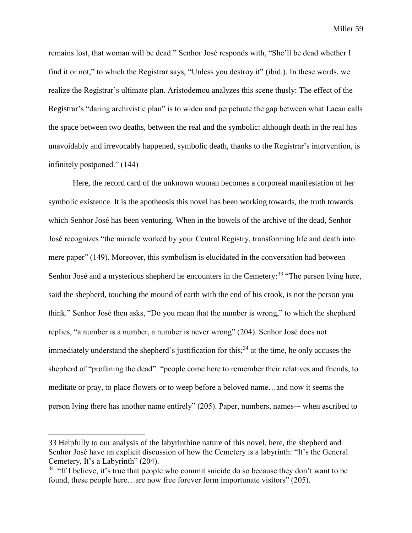remains lost, that woman will be dead." Senhor José responds with, "She'll be dead whether I find it or not," to which the Registrar says, "Unless you destroy it" (ibid.). In these words, we realize the Registrar's ultimate plan. Aristodemou analyzes this scene thusly: The effect of the Registrar's "daring archivistic plan" is to widen and perpetuate the gap between what Lacan calls the space between two deaths, between the real and the symbolic: although death in the real has unavoidably and irrevocably happened, symbolic death, thanks to the Registrar's intervention, is infinitely postponed." (144)

Here, the record card of the unknown woman becomes a corporeal manifestation of her symbolic existence. It is the apotheosis this novel has been working towards, the truth towards which Senhor José has been venturing. When in the bowels of the archive of the dead, Senhor José recognizes "the miracle worked by your Central Registry, transforming life and death into mere paper" (149). Moreover, this symbolism is elucidated in the conversation had between Senhor José and a mysterious shepherd he encounters in the Cemetery:<sup>33</sup> "The person lying here, said the shepherd, touching the mound of earth with the end of his crook, is not the person you think." Senhor José then asks, "Do you mean that the number is wrong," to which the shepherd replies, "a number is a number, a number is never wrong" (204). Senhor José does not immediately understand the shepherd's justification for this;<sup>34</sup> at the time, he only accuses the shepherd of "profaning the dead": "people come here to remember their relatives and friends, to meditate or pray, to place flowers or to weep before a beloved name…and now it seems the person lying there has another name entirely" (205). Paper, numbers, names–- when ascribed to

<sup>33</sup> Helpfully to our analysis of the labyrinthine nature of this novel, here, the shepherd and Senhor José have an explicit discussion of how the Cemetery is a labyrinth: "It's the General Cemetery, It's a Labyrinth" (204).

 $34$  "If I believe, it's true that people who commit suicide do so because they don't want to be found, these people here…are now free forever form importunate visitors" (205).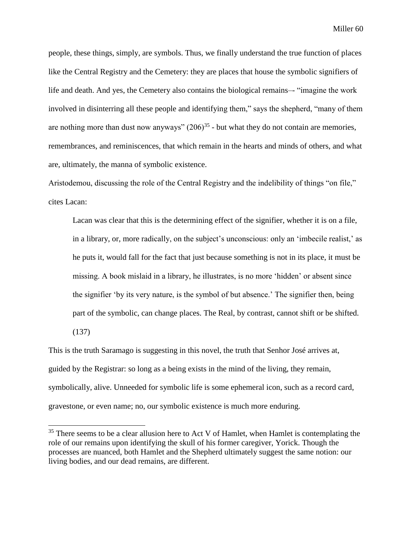people, these things, simply, are symbols. Thus, we finally understand the true function of places like the Central Registry and the Cemetery: they are places that house the symbolic signifiers of life and death. And yes, the Cemetery also contains the biological remains–- "imagine the work involved in disinterring all these people and identifying them," says the shepherd, "many of them are nothing more than dust now anyways"  $(206)^{35}$  - but what they do not contain are memories, remembrances, and reminiscences, that which remain in the hearts and minds of others, and what are, ultimately, the manna of symbolic existence.

Aristodemou, discussing the role of the Central Registry and the indelibility of things "on file," cites Lacan:

Lacan was clear that this is the determining effect of the signifier, whether it is on a file, in a library, or, more radically, on the subject's unconscious: only an 'imbecile realist,' as he puts it, would fall for the fact that just because something is not in its place, it must be missing. A book mislaid in a library, he illustrates, is no more 'hidden' or absent since the signifier 'by its very nature, is the symbol of but absence.' The signifier then, being part of the symbolic, can change places. The Real, by contrast, cannot shift or be shifted. (137)

This is the truth Saramago is suggesting in this novel, the truth that Senhor José arrives at, guided by the Registrar: so long as a being exists in the mind of the living, they remain, symbolically, alive. Unneeded for symbolic life is some ephemeral icon, such as a record card, gravestone, or even name; no, our symbolic existence is much more enduring.

 $35$  There seems to be a clear allusion here to Act V of Hamlet, when Hamlet is contemplating the role of our remains upon identifying the skull of his former caregiver, Yorick. Though the processes are nuanced, both Hamlet and the Shepherd ultimately suggest the same notion: our living bodies, and our dead remains, are different.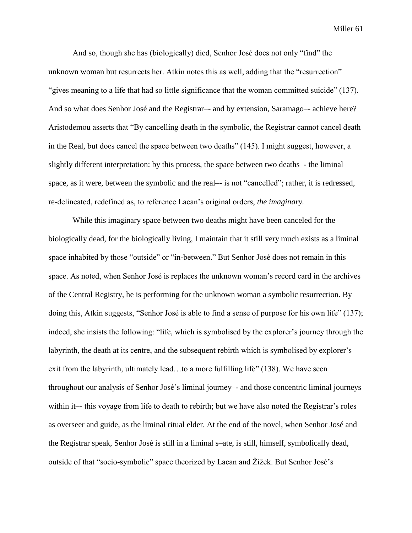And so, though she has (biologically) died, Senhor José does not only "find" the unknown woman but resurrects her. Atkin notes this as well, adding that the "resurrection" "gives meaning to a life that had so little significance that the woman committed suicide" (137). And so what does Senhor José and the Registrar–- and by extension, Saramago–- achieve here? Aristodemou asserts that "By cancelling death in the symbolic, the Registrar cannot cancel death in the Real, but does cancel the space between two deaths" (145). I might suggest, however, a slightly different interpretation: by this process, the space between two deaths–- the liminal space, as it were, between the symbolic and the real–- is not "cancelled"; rather, it is redressed, re-delineated, redefined as, to reference Lacan's original orders, *the imaginary.* 

While this imaginary space between two deaths might have been canceled for the biologically dead, for the biologically living, I maintain that it still very much exists as a liminal space inhabited by those "outside" or "in-between." But Senhor José does not remain in this space. As noted, when Senhor José is replaces the unknown woman's record card in the archives of the Central Registry, he is performing for the unknown woman a symbolic resurrection. By doing this, Atkin suggests, "Senhor José is able to find a sense of purpose for his own life" (137); indeed, she insists the following: "life, which is symbolised by the explorer's journey through the labyrinth, the death at its centre, and the subsequent rebirth which is symbolised by explorer's exit from the labyrinth, ultimately lead…to a more fulfilling life" (138). We have seen throughout our analysis of Senhor José's liminal journey–- and those concentric liminal journeys within it—this voyage from life to death to rebirth; but we have also noted the Registrar's roles as overseer and guide, as the liminal ritual elder. At the end of the novel, when Senhor José and the Registrar speak, Senhor José is still in a liminal s–ate, is still, himself, symbolically dead, outside of that "socio-symbolic" space theorized by Lacan and Žižek. But Senhor José's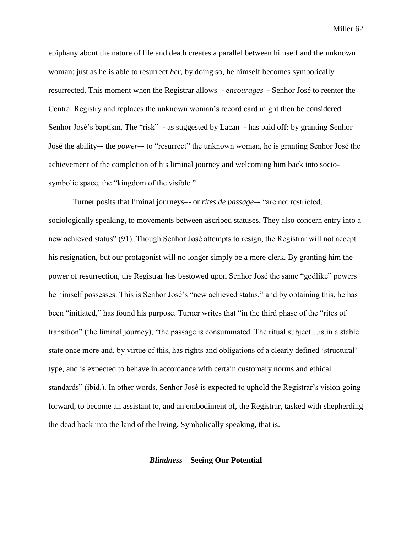epiphany about the nature of life and death creates a parallel between himself and the unknown woman: just as he is able to resurrect *her*, by doing so, he himself becomes symbolically resurrected. This moment when the Registrar allows–- *encourages–*- Senhor José to reenter the Central Registry and replaces the unknown woman's record card might then be considered Senhor José's baptism. The "risk"–- as suggested by Lacan–- has paid off: by granting Senhor José the ability–- the *power*–- to "resurrect" the unknown woman, he is granting Senhor José the achievement of the completion of his liminal journey and welcoming him back into sociosymbolic space, the "kingdom of the visible."

Turner posits that liminal journeys–- or *rites de passage*–- "are not restricted, sociologically speaking, to movements between ascribed statuses. They also concern entry into a new achieved status" (91). Though Senhor José attempts to resign, the Registrar will not accept his resignation, but our protagonist will no longer simply be a mere clerk. By granting him the power of resurrection, the Registrar has bestowed upon Senhor José the same "godlike" powers he himself possesses. This is Senhor José's "new achieved status," and by obtaining this, he has been "initiated," has found his purpose. Turner writes that "in the third phase of the "rites of transition" (the liminal journey), "the passage is consummated. The ritual subject…is in a stable state once more and, by virtue of this, has rights and obligations of a clearly defined 'structural' type, and is expected to behave in accordance with certain customary norms and ethical standards" (ibid.). In other words, Senhor José is expected to uphold the Registrar's vision going forward, to become an assistant to, and an embodiment of, the Registrar, tasked with shepherding the dead back into the land of the living. Symbolically speaking, that is.

## *Blindness* **– Seeing Our Potential**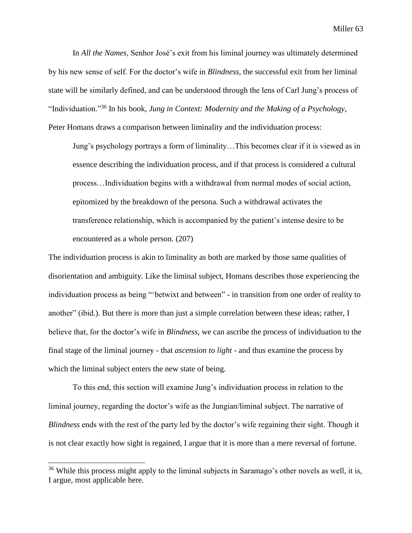In *All the Names*, Senhor José's exit from his liminal journey was ultimately determined by his new sense of self. For the doctor's wife in *Blindness*, the successful exit from her liminal state will be similarly defined, and can be understood through the lens of Carl Jung's process of "Individuation."<sup>36</sup> In his book, *Jung in Context: Modernity and the Making of a Psychology*, Peter Homans draws a comparison between liminality and the individuation process:

Jung's psychology portrays a form of liminality…This becomes clear if it is viewed as in essence describing the individuation process, and if that process is considered a cultural process…Individuation begins with a withdrawal from normal modes of social action, epitomized by the breakdown of the persona. Such a withdrawal activates the transference relationship, which is accompanied by the patient's intense desire to be encountered as a whole person. (207)

The individuation process is akin to liminality as both are marked by those same qualities of disorientation and ambiguity. Like the liminal subject, Homans describes those experiencing the individuation process as being "'betwixt and between" - in transition from one order of reality to another" (ibid.). But there is more than just a simple correlation between these ideas; rather, I believe that, for the doctor's wife in *Blindness*, we can ascribe the process of individuation to the final stage of the liminal journey - that *ascension to light* - and thus examine the process by which the liminal subject enters the new state of being.

To this end, this section will examine Jung's individuation process in relation to the liminal journey, regarding the doctor's wife as the Jungian/liminal subject. The narrative of *Blindness* ends with the rest of the party led by the doctor's wife regaining their sight. Though it is not clear exactly how sight is regained, I argue that it is more than a mere reversal of fortune.

<sup>&</sup>lt;sup>36</sup> While this process might apply to the liminal subjects in Saramago's other novels as well, it is, I argue, most applicable here.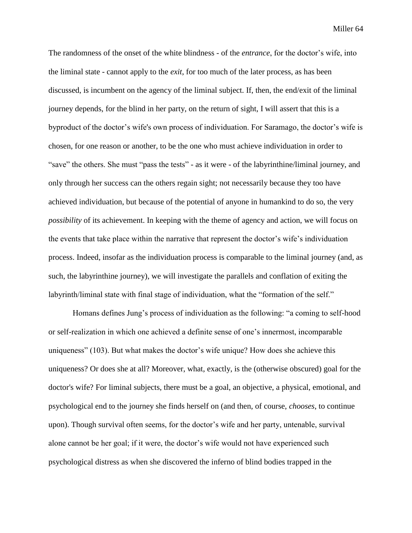The randomness of the onset of the white blindness - of the *entrance*, for the doctor's wife, into the liminal state - cannot apply to the *exit*, for too much of the later process, as has been discussed, is incumbent on the agency of the liminal subject. If, then, the end/exit of the liminal journey depends, for the blind in her party, on the return of sight, I will assert that this is a byproduct of the doctor's wife's own process of individuation. For Saramago, the doctor's wife is chosen, for one reason or another, to be the one who must achieve individuation in order to "save" the others. She must "pass the tests" - as it were - of the labyrinthine/liminal journey, and only through her success can the others regain sight; not necessarily because they too have achieved individuation, but because of the potential of anyone in humankind to do so, the very *possibility* of its achievement. In keeping with the theme of agency and action, we will focus on the events that take place within the narrative that represent the doctor's wife's individuation process. Indeed, insofar as the individuation process is comparable to the liminal journey (and, as such, the labyrinthine journey), we will investigate the parallels and conflation of exiting the labyrinth/liminal state with final stage of individuation, what the "formation of the self."

Homans defines Jung's process of individuation as the following: "a coming to self-hood or self-realization in which one achieved a definite sense of one's innermost, incomparable uniqueness" (103). But what makes the doctor's wife unique? How does she achieve this uniqueness? Or does she at all? Moreover, what, exactly, is the (otherwise obscured) goal for the doctor's wife? For liminal subjects, there must be a goal, an objective, a physical, emotional, and psychological end to the journey she finds herself on (and then, of course, *chooses*, to continue upon). Though survival often seems, for the doctor's wife and her party, untenable, survival alone cannot be her goal; if it were, the doctor's wife would not have experienced such psychological distress as when she discovered the inferno of blind bodies trapped in the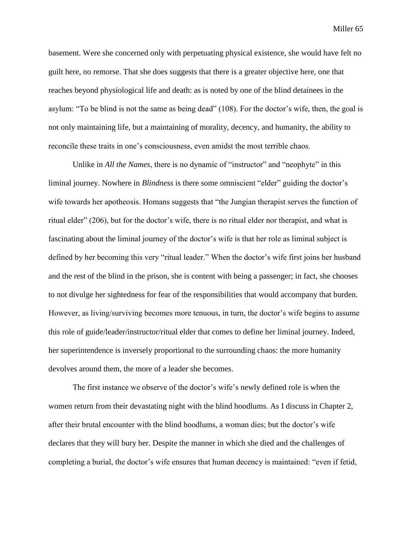basement. Were she concerned only with perpetuating physical existence, she would have felt no guilt here, no remorse. That she does suggests that there is a greater objective here, one that reaches beyond physiological life and death: as is noted by one of the blind detainees in the asylum: "To be blind is not the same as being dead" (108). For the doctor's wife, then, the goal is not only maintaining life, but a maintaining of morality, decency, and humanity, the ability to reconcile these traits in one's consciousness, even amidst the most terrible chaos.

Unlike in *All the Names*, there is no dynamic of "instructor" and "neophyte" in this liminal journey. Nowhere in *Blindness* is there some omniscient "elder" guiding the doctor's wife towards her apotheosis. Homans suggests that "the Jungian therapist serves the function of ritual elder" (206), but for the doctor's wife, there is no ritual elder nor therapist, and what is fascinating about the liminal journey of the doctor's wife is that her role as liminal subject is defined by her becoming this very "ritual leader." When the doctor's wife first joins her husband and the rest of the blind in the prison, she is content with being a passenger; in fact, she chooses to not divulge her sightedness for fear of the responsibilities that would accompany that burden. However, as living/surviving becomes more tenuous, in turn, the doctor's wife begins to assume this role of guide/leader/instructor/ritual elder that comes to define her liminal journey. Indeed, her superintendence is inversely proportional to the surrounding chaos: the more humanity devolves around them, the more of a leader she becomes.

The first instance we observe of the doctor's wife's newly defined role is when the women return from their devastating night with the blind hoodlums. As I discuss in Chapter 2, after their brutal encounter with the blind hoodlums, a woman dies; but the doctor's wife declares that they will bury her. Despite the manner in which she died and the challenges of completing a burial, the doctor's wife ensures that human decency is maintained: "even if fetid,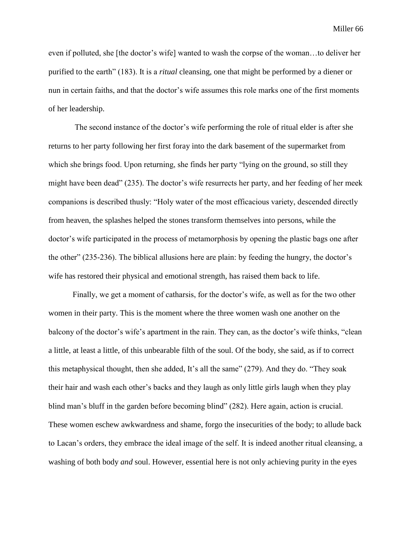even if polluted, she [the doctor's wife] wanted to wash the corpse of the woman…to deliver her purified to the earth" (183). It is a *ritual* cleansing, one that might be performed by a diener or nun in certain faiths, and that the doctor's wife assumes this role marks one of the first moments of her leadership.

The second instance of the doctor's wife performing the role of ritual elder is after she returns to her party following her first foray into the dark basement of the supermarket from which she brings food. Upon returning, she finds her party "lying on the ground, so still they might have been dead" (235). The doctor's wife resurrects her party, and her feeding of her meek companions is described thusly: "Holy water of the most efficacious variety, descended directly from heaven, the splashes helped the stones transform themselves into persons, while the doctor's wife participated in the process of metamorphosis by opening the plastic bags one after the other" (235-236). The biblical allusions here are plain: by feeding the hungry, the doctor's wife has restored their physical and emotional strength, has raised them back to life.

Finally, we get a moment of catharsis, for the doctor's wife, as well as for the two other women in their party. This is the moment where the three women wash one another on the balcony of the doctor's wife's apartment in the rain. They can, as the doctor's wife thinks, "clean a little, at least a little, of this unbearable filth of the soul. Of the body, she said, as if to correct this metaphysical thought, then she added, It's all the same" (279). And they do. "They soak their hair and wash each other's backs and they laugh as only little girls laugh when they play blind man's bluff in the garden before becoming blind" (282). Here again, action is crucial. These women eschew awkwardness and shame, forgo the insecurities of the body; to allude back to Lacan's orders, they embrace the ideal image of the self. It is indeed another ritual cleansing, a washing of both body *and* soul. However, essential here is not only achieving purity in the eyes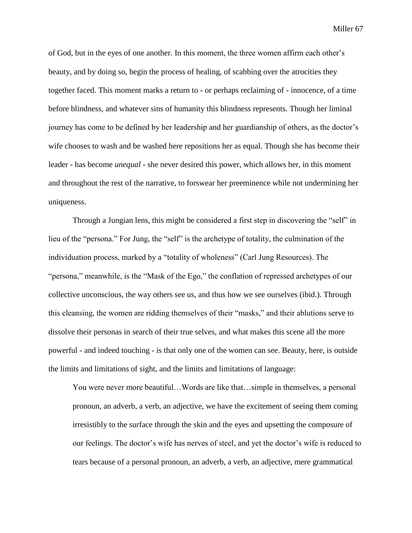of God, but in the eyes of one another. In this moment, the three women affirm each other's beauty, and by doing so, begin the process of healing, of scabbing over the atrocities they together faced. This moment marks a return to - or perhaps reclaiming of - innocence, of a time before blindness, and whatever sins of humanity this blindness represents. Though her liminal journey has come to be defined by her leadership and her guardianship of others, as the doctor's wife chooses to wash and be washed here repositions her as equal. Though she has become their leader - has become *unequal* - she never desired this power, which allows her, in this moment and throughout the rest of the narrative, to forswear her preeminence while not undermining her uniqueness.

Through a Jungian lens, this might be considered a first step in discovering the "self" in lieu of the "persona." For Jung, the "self" is the archetype of totality, the culmination of the individuation process, marked by a "totality of wholeness" (Carl Jung Resources). The "persona," meanwhile, is the "Mask of the Ego," the conflation of repressed archetypes of our collective unconscious, the way others see us, and thus how we see ourselves (ibid.). Through this cleansing, the women are ridding themselves of their "masks," and their ablutions serve to dissolve their personas in search of their true selves, and what makes this scene all the more powerful - and indeed touching - is that only one of the women can see. Beauty, here, is outside the limits and limitations of sight, and the limits and limitations of language:

You were never more beautiful…Words are like that…simple in themselves, a personal pronoun, an adverb, a verb, an adjective, we have the excitement of seeing them coming irresistibly to the surface through the skin and the eyes and upsetting the composure of our feelings. The doctor's wife has nerves of steel, and yet the doctor's wife is reduced to tears because of a personal pronoun, an adverb, a verb, an adjective, mere grammatical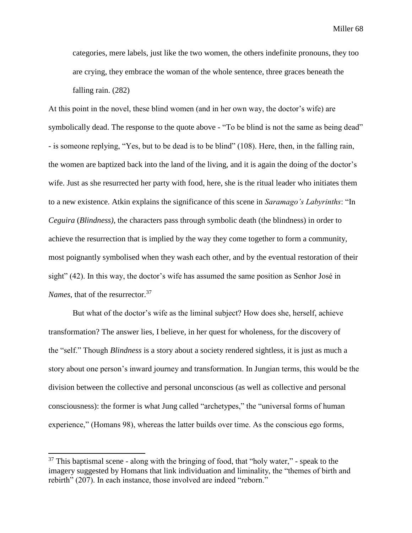categories, mere labels, just like the two women, the others indefinite pronouns, they too are crying, they embrace the woman of the whole sentence, three graces beneath the falling rain. (282)

At this point in the novel, these blind women (and in her own way, the doctor's wife) are symbolically dead. The response to the quote above - "To be blind is not the same as being dead" - is someone replying, "Yes, but to be dead is to be blind" (108). Here, then, in the falling rain, the women are baptized back into the land of the living, and it is again the doing of the doctor's wife. Just as she resurrected her party with food, here, she is the ritual leader who initiates them to a new existence. Atkin explains the significance of this scene in *Saramago's Labyrinths*: "In *Ceguira* (*Blindness)*, the characters pass through symbolic death (the blindness) in order to achieve the resurrection that is implied by the way they come together to form a community, most poignantly symbolised when they wash each other, and by the eventual restoration of their sight" (42). In this way, the doctor's wife has assumed the same position as Senhor José in *Names*, that of the resurrector.<sup>37</sup>

But what of the doctor's wife as the liminal subject? How does she, herself, achieve transformation? The answer lies, I believe, in her quest for wholeness, for the discovery of the "self." Though *Blindness* is a story about a society rendered sightless, it is just as much a story about one person's inward journey and transformation. In Jungian terms, this would be the division between the collective and personal unconscious (as well as collective and personal consciousness): the former is what Jung called "archetypes," the "universal forms of human experience," (Homans 98), whereas the latter builds over time. As the conscious ego forms,

 $37$  This baptismal scene - along with the bringing of food, that "holy water," - speak to the imagery suggested by Homans that link individuation and liminality, the "themes of birth and rebirth" (207). In each instance, those involved are indeed "reborn."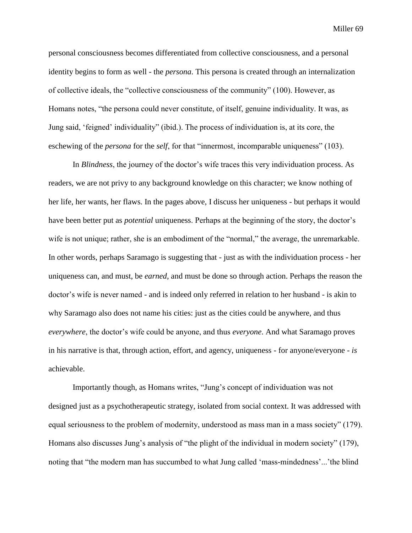personal consciousness becomes differentiated from collective consciousness, and a personal identity begins to form as well - the *persona*. This persona is created through an internalization of collective ideals, the "collective consciousness of the community" (100). However, as Homans notes, "the persona could never constitute, of itself, genuine individuality. It was, as Jung said, 'feigned' individuality" (ibid.). The process of individuation is, at its core, the eschewing of the *persona* for the *self*, for that "innermost, incomparable uniqueness" (103).

In *Blindness*, the journey of the doctor's wife traces this very individuation process. As readers, we are not privy to any background knowledge on this character; we know nothing of her life, her wants, her flaws. In the pages above, I discuss her uniqueness - but perhaps it would have been better put as *potential* uniqueness. Perhaps at the beginning of the story, the doctor's wife is not unique; rather, she is an embodiment of the "normal," the average, the unremarkable. In other words, perhaps Saramago is suggesting that - just as with the individuation process - her uniqueness can, and must, be *earned*, and must be done so through action. Perhaps the reason the doctor's wife is never named - and is indeed only referred in relation to her husband - is akin to why Saramago also does not name his cities: just as the cities could be anywhere, and thus *everywhere*, the doctor's wife could be anyone, and thus *everyone*. And what Saramago proves in his narrative is that, through action, effort, and agency, uniqueness - for anyone/everyone - *is*  achievable.

Importantly though, as Homans writes, "Jung's concept of individuation was not designed just as a psychotherapeutic strategy, isolated from social context. It was addressed with equal seriousness to the problem of modernity, understood as mass man in a mass society" (179). Homans also discusses Jung's analysis of "the plight of the individual in modern society" (179), noting that "the modern man has succumbed to what Jung called 'mass-mindedness'...'the blind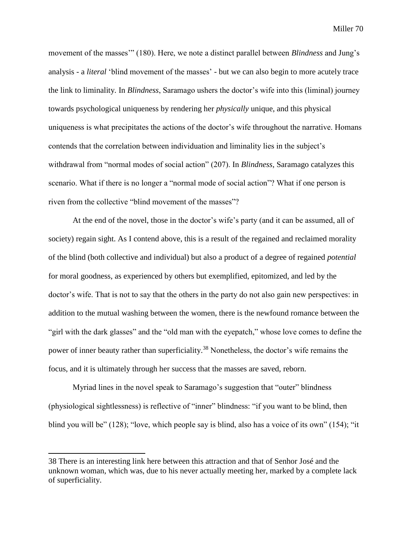movement of the masses'" (180). Here, we note a distinct parallel between *Blindness* and Jung's analysis - a *literal* 'blind movement of the masses' - but we can also begin to more acutely trace the link to liminality. In *Blindness*, Saramago ushers the doctor's wife into this (liminal) journey towards psychological uniqueness by rendering her *physically* unique, and this physical uniqueness is what precipitates the actions of the doctor's wife throughout the narrative. Homans contends that the correlation between individuation and liminality lies in the subject's withdrawal from "normal modes of social action" (207). In *Blindness*, Saramago catalyzes this scenario. What if there is no longer a "normal mode of social action"? What if one person is riven from the collective "blind movement of the masses"?

At the end of the novel, those in the doctor's wife's party (and it can be assumed, all of society) regain sight. As I contend above, this is a result of the regained and reclaimed morality of the blind (both collective and individual) but also a product of a degree of regained *potential* for moral goodness, as experienced by others but exemplified, epitomized, and led by the doctor's wife. That is not to say that the others in the party do not also gain new perspectives: in addition to the mutual washing between the women, there is the newfound romance between the "girl with the dark glasses" and the "old man with the eyepatch," whose love comes to define the power of inner beauty rather than superficiality.<sup>38</sup> Nonetheless, the doctor's wife remains the focus, and it is ultimately through her success that the masses are saved, reborn.

Myriad lines in the novel speak to Saramago's suggestion that "outer" blindness (physiological sightlessness) is reflective of "inner" blindness: "if you want to be blind, then blind you will be" (128); "love, which people say is blind, also has a voice of its own" (154); "it

 $\overline{a}$ 

<sup>38</sup> There is an interesting link here between this attraction and that of Senhor José and the unknown woman, which was, due to his never actually meeting her, marked by a complete lack of superficiality.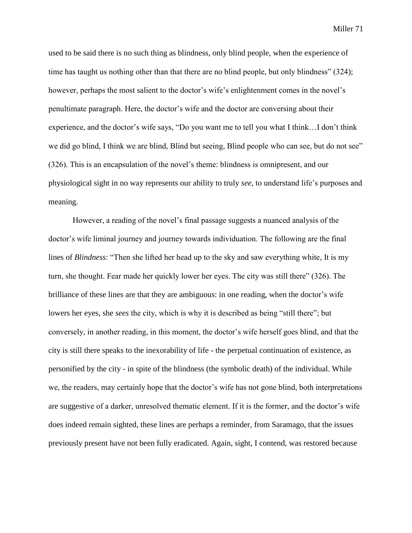used to be said there is no such thing as blindness, only blind people, when the experience of time has taught us nothing other than that there are no blind people, but only blindness" (324); however, perhaps the most salient to the doctor's wife's enlightenment comes in the novel's penultimate paragraph. Here, the doctor's wife and the doctor are conversing about their experience, and the doctor's wife says, "Do you want me to tell you what I think…I don't think we did go blind, I think we are blind, Blind but seeing, Blind people who can see, but do not see" (326). This is an encapsulation of the novel's theme: blindness is omnipresent, and our physiological sight in no way represents our ability to truly *see*, to understand life's purposes and meaning.

However, a reading of the novel's final passage suggests a nuanced analysis of the doctor's wife liminal journey and journey towards individuation. The following are the final lines of *Blindness*: "Then she lifted her head up to the sky and saw everything white, It is my turn, she thought. Fear made her quickly lower her eyes. The city was still there" (326). The brilliance of these lines are that they are ambiguous: in one reading, when the doctor's wife lowers her eyes, she *sees* the city, which is why it is described as being "still there"; but conversely, in another reading, in this moment, the doctor's wife herself goes blind, and that the city is still there speaks to the inexorability of life - the perpetual continuation of existence, as personified by the city - in spite of the blindness (the symbolic death) of the individual. While we, the readers, may certainly hope that the doctor's wife has not gone blind, both interpretations are suggestive of a darker, unresolved thematic element. If it is the former, and the doctor's wife does indeed remain sighted, these lines are perhaps a reminder, from Saramago, that the issues previously present have not been fully eradicated. Again, sight, I contend, was restored because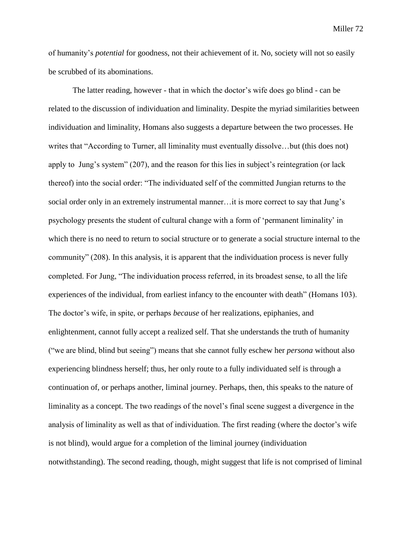of humanity's *potential* for goodness, not their achievement of it. No, society will not so easily be scrubbed of its abominations.

The latter reading, however - that in which the doctor's wife does go blind - can be related to the discussion of individuation and liminality. Despite the myriad similarities between individuation and liminality, Homans also suggests a departure between the two processes. He writes that "According to Turner, all liminality must eventually dissolve…but (this does not) apply to Jung's system" (207), and the reason for this lies in subject's reintegration (or lack thereof) into the social order: "The individuated self of the committed Jungian returns to the social order only in an extremely instrumental manner…it is more correct to say that Jung's psychology presents the student of cultural change with a form of 'permanent liminality' in which there is no need to return to social structure or to generate a social structure internal to the community" (208). In this analysis, it is apparent that the individuation process is never fully completed. For Jung, "The individuation process referred, in its broadest sense, to all the life experiences of the individual, from earliest infancy to the encounter with death" (Homans 103). The doctor's wife, in spite, or perhaps *because* of her realizations, epiphanies, and enlightenment, cannot fully accept a realized self. That she understands the truth of humanity ("we are blind, blind but seeing") means that she cannot fully eschew her *persona* without also experiencing blindness herself; thus, her only route to a fully individuated self is through a continuation of, or perhaps another, liminal journey. Perhaps, then, this speaks to the nature of liminality as a concept. The two readings of the novel's final scene suggest a divergence in the analysis of liminality as well as that of individuation. The first reading (where the doctor's wife is not blind), would argue for a completion of the liminal journey (individuation notwithstanding). The second reading, though, might suggest that life is not comprised of liminal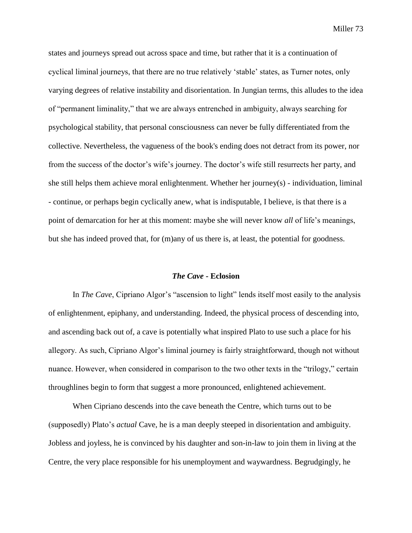states and journeys spread out across space and time, but rather that it is a continuation of cyclical liminal journeys, that there are no true relatively 'stable' states, as Turner notes, only varying degrees of relative instability and disorientation. In Jungian terms, this alludes to the idea of "permanent liminality," that we are always entrenched in ambiguity, always searching for psychological stability, that personal consciousness can never be fully differentiated from the collective. Nevertheless, the vagueness of the book's ending does not detract from its power, nor from the success of the doctor's wife's journey. The doctor's wife still resurrects her party, and she still helps them achieve moral enlightenment. Whether her journey(s) - individuation, liminal - continue, or perhaps begin cyclically anew, what is indisputable, I believe, is that there is a point of demarcation for her at this moment: maybe she will never know *all* of life's meanings, but she has indeed proved that, for (m)any of us there is, at least, the potential for goodness.

## *The Cave* **- Eclosion**

In *The Cave*, Cipriano Algor's "ascension to light" lends itself most easily to the analysis of enlightenment, epiphany, and understanding. Indeed, the physical process of descending into, and ascending back out of, a cave is potentially what inspired Plato to use such a place for his allegory. As such, Cipriano Algor's liminal journey is fairly straightforward, though not without nuance. However, when considered in comparison to the two other texts in the "trilogy," certain throughlines begin to form that suggest a more pronounced, enlightened achievement.

When Cipriano descends into the cave beneath the Centre, which turns out to be (supposedly) Plato's *actual* Cave, he is a man deeply steeped in disorientation and ambiguity. Jobless and joyless, he is convinced by his daughter and son-in-law to join them in living at the Centre, the very place responsible for his unemployment and waywardness. Begrudgingly, he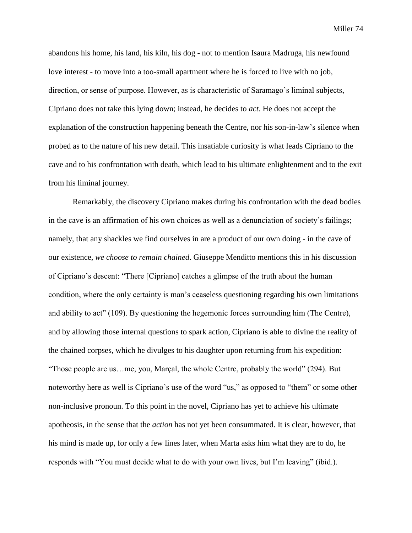abandons his home, his land, his kiln, his dog - not to mention Isaura Madruga, his newfound love interest - to move into a too-small apartment where he is forced to live with no job, direction, or sense of purpose. However, as is characteristic of Saramago's liminal subjects, Cipriano does not take this lying down; instead, he decides to *act*. He does not accept the explanation of the construction happening beneath the Centre, nor his son-in-law's silence when probed as to the nature of his new detail. This insatiable curiosity is what leads Cipriano to the cave and to his confrontation with death, which lead to his ultimate enlightenment and to the exit from his liminal journey.

Remarkably, the discovery Cipriano makes during his confrontation with the dead bodies in the cave is an affirmation of his own choices as well as a denunciation of society's failings; namely, that any shackles we find ourselves in are a product of our own doing - in the cave of our existence, *we choose to remain chained*. Giuseppe Menditto mentions this in his discussion of Cipriano's descent: "There [Cipriano] catches a glimpse of the truth about the human condition, where the only certainty is man's ceaseless questioning regarding his own limitations and ability to act" (109). By questioning the hegemonic forces surrounding him (The Centre), and by allowing those internal questions to spark action, Cipriano is able to divine the reality of the chained corpses, which he divulges to his daughter upon returning from his expedition: "Those people are us…me, you, Marçal, the whole Centre, probably the world" (294). But noteworthy here as well is Cipriano's use of the word "us," as opposed to "them" or some other non-inclusive pronoun. To this point in the novel, Cipriano has yet to achieve his ultimate apotheosis, in the sense that the *action* has not yet been consummated. It is clear, however, that his mind is made up, for only a few lines later, when Marta asks him what they are to do, he responds with "You must decide what to do with your own lives, but I'm leaving" (ibid.).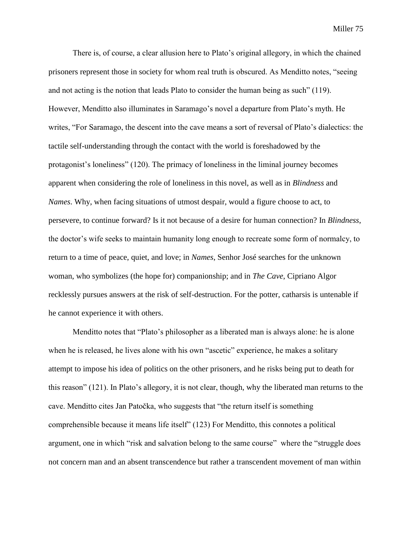There is, of course, a clear allusion here to Plato's original allegory, in which the chained prisoners represent those in society for whom real truth is obscured. As Menditto notes, "seeing and not acting is the notion that leads Plato to consider the human being as such" (119). However, Menditto also illuminates in Saramago's novel a departure from Plato's myth. He writes, "For Saramago, the descent into the cave means a sort of reversal of Plato's dialectics: the tactile self-understanding through the contact with the world is foreshadowed by the protagonist's loneliness" (120). The primacy of loneliness in the liminal journey becomes apparent when considering the role of loneliness in this novel, as well as in *Blindness* and *Names*. Why, when facing situations of utmost despair, would a figure choose to act, to persevere, to continue forward? Is it not because of a desire for human connection? In *Blindness*, the doctor's wife seeks to maintain humanity long enough to recreate some form of normalcy, to return to a time of peace, quiet, and love; in *Names*, Senhor José searches for the unknown woman, who symbolizes (the hope for) companionship; and in *The Cave*, Cipriano Algor recklessly pursues answers at the risk of self-destruction. For the potter, catharsis is untenable if he cannot experience it with others.

Menditto notes that "Plato's philosopher as a liberated man is always alone: he is alone when he is released, he lives alone with his own "ascetic" experience, he makes a solitary attempt to impose his idea of politics on the other prisoners, and he risks being put to death for this reason" (121). In Plato's allegory, it is not clear, though, why the liberated man returns to the cave. Menditto cites Jan Patočka, who suggests that "the return itself is something comprehensible because it means life itself" (123) For Menditto, this connotes a political argument, one in which "risk and salvation belong to the same course" where the "struggle does not concern man and an absent transcendence but rather a transcendent movement of man within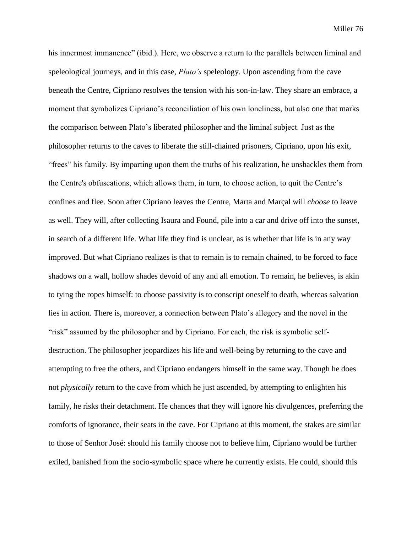his innermost immanence" (ibid.). Here, we observe a return to the parallels between liminal and speleological journeys, and in this case, *Plato's* speleology. Upon ascending from the cave beneath the Centre, Cipriano resolves the tension with his son-in-law. They share an embrace, a moment that symbolizes Cipriano's reconciliation of his own loneliness, but also one that marks the comparison between Plato's liberated philosopher and the liminal subject. Just as the philosopher returns to the caves to liberate the still-chained prisoners, Cipriano, upon his exit, "frees" his family. By imparting upon them the truths of his realization, he unshackles them from the Centre's obfuscations, which allows them, in turn, to choose action, to quit the Centre's confines and flee. Soon after Cipriano leaves the Centre, Marta and Marçal will *choose* to leave as well. They will, after collecting Isaura and Found, pile into a car and drive off into the sunset, in search of a different life. What life they find is unclear, as is whether that life is in any way improved. But what Cipriano realizes is that to remain is to remain chained, to be forced to face shadows on a wall, hollow shades devoid of any and all emotion. To remain, he believes, is akin to tying the ropes himself: to choose passivity is to conscript oneself to death, whereas salvation lies in action. There is, moreover, a connection between Plato's allegory and the novel in the "risk" assumed by the philosopher and by Cipriano. For each, the risk is symbolic selfdestruction. The philosopher jeopardizes his life and well-being by returning to the cave and attempting to free the others, and Cipriano endangers himself in the same way. Though he does not *physically* return to the cave from which he just ascended, by attempting to enlighten his family, he risks their detachment. He chances that they will ignore his divulgences, preferring the comforts of ignorance, their seats in the cave. For Cipriano at this moment, the stakes are similar to those of Senhor José: should his family choose not to believe him, Cipriano would be further exiled, banished from the socio-symbolic space where he currently exists. He could, should this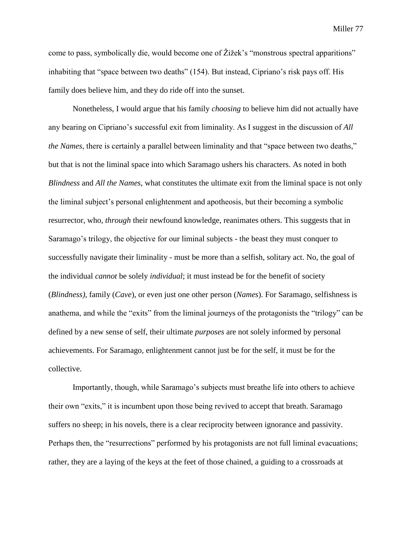come to pass, symbolically die, would become one of Žižek's "monstrous spectral apparitions" inhabiting that "space between two deaths" (154). But instead, Cipriano's risk pays off. His family does believe him, and they do ride off into the sunset.

Nonetheless, I would argue that his family *choosing* to believe him did not actually have any bearing on Cipriano's successful exit from liminality. As I suggest in the discussion of *All the Names*, there is certainly a parallel between liminality and that "space between two deaths," but that is not the liminal space into which Saramago ushers his characters. As noted in both *Blindness* and *All the Names*, what constitutes the ultimate exit from the liminal space is not only the liminal subject's personal enlightenment and apotheosis, but their becoming a symbolic resurrector, who, *through* their newfound knowledge, reanimates others. This suggests that in Saramago's trilogy, the objective for our liminal subjects - the beast they must conquer to successfully navigate their liminality - must be more than a selfish, solitary act. No, the goal of the individual *cannot* be solely *individual*; it must instead be for the benefit of society (*Blindness)*, family (*Cave*), or even just one other person (*Names*). For Saramago, selfishness is anathema, and while the "exits" from the liminal journeys of the protagonists the "trilogy" can be defined by a new sense of self, their ultimate *purposes* are not solely informed by personal achievements. For Saramago, enlightenment cannot just be for the self, it must be for the collective.

Importantly, though, while Saramago's subjects must breathe life into others to achieve their own "exits," it is incumbent upon those being revived to accept that breath. Saramago suffers no sheep; in his novels, there is a clear reciprocity between ignorance and passivity. Perhaps then, the "resurrections" performed by his protagonists are not full liminal evacuations; rather, they are a laying of the keys at the feet of those chained, a guiding to a crossroads at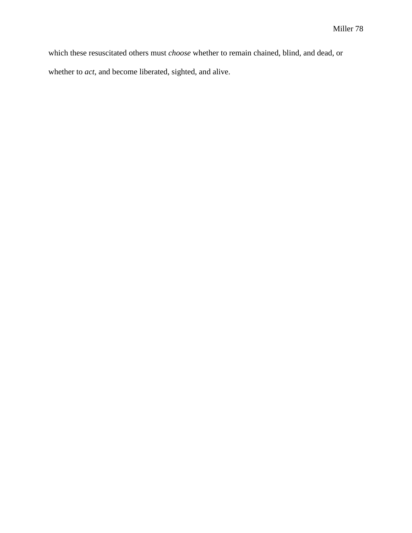which these resuscitated others must *choose* whether to remain chained, blind, and dead, or whether to *act*, and become liberated, sighted, and alive.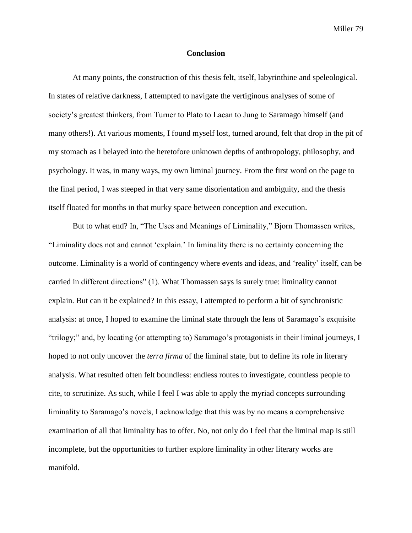## **Conclusion**

At many points, the construction of this thesis felt, itself, labyrinthine and speleological. In states of relative darkness, I attempted to navigate the vertiginous analyses of some of society's greatest thinkers, from Turner to Plato to Lacan to Jung to Saramago himself (and many others!). At various moments, I found myself lost, turned around, felt that drop in the pit of my stomach as I belayed into the heretofore unknown depths of anthropology, philosophy, and psychology. It was, in many ways, my own liminal journey. From the first word on the page to the final period, I was steeped in that very same disorientation and ambiguity, and the thesis itself floated for months in that murky space between conception and execution.

But to what end? In, "The Uses and Meanings of Liminality," Bjorn Thomassen writes, "Liminality does not and cannot 'explain.' In liminality there is no certainty concerning the outcome. Liminality is a world of contingency where events and ideas, and 'reality' itself, can be carried in different directions" (1). What Thomassen says is surely true: liminality cannot explain. But can it be explained? In this essay, I attempted to perform a bit of synchronistic analysis: at once, I hoped to examine the liminal state through the lens of Saramago's exquisite "trilogy;" and, by locating (or attempting to) Saramago's protagonists in their liminal journeys, I hoped to not only uncover the *terra firma* of the liminal state, but to define its role in literary analysis. What resulted often felt boundless: endless routes to investigate, countless people to cite, to scrutinize. As such, while I feel I was able to apply the myriad concepts surrounding liminality to Saramago's novels, I acknowledge that this was by no means a comprehensive examination of all that liminality has to offer. No, not only do I feel that the liminal map is still incomplete, but the opportunities to further explore liminality in other literary works are manifold.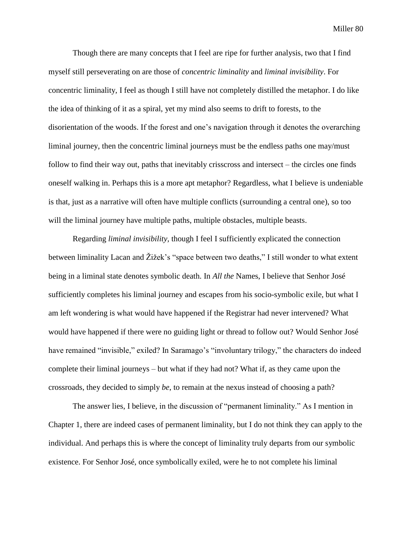Though there are many concepts that I feel are ripe for further analysis, two that I find myself still perseverating on are those of *concentric liminality* and *liminal invisibility*. For concentric liminality, I feel as though I still have not completely distilled the metaphor. I do like the idea of thinking of it as a spiral, yet my mind also seems to drift to forests, to the disorientation of the woods. If the forest and one's navigation through it denotes the overarching liminal journey, then the concentric liminal journeys must be the endless paths one may/must follow to find their way out, paths that inevitably crisscross and intersect – the circles one finds oneself walking in. Perhaps this is a more apt metaphor? Regardless, what I believe is undeniable is that, just as a narrative will often have multiple conflicts (surrounding a central one), so too will the liminal journey have multiple paths, multiple obstacles, multiple beasts.

Regarding *liminal invisibility,* though I feel I sufficiently explicated the connection between liminality Lacan and Žižek's "space between two deaths," I still wonder to what extent being in a liminal state denotes symbolic death. In *All the* Names, I believe that Senhor José sufficiently completes his liminal journey and escapes from his socio-symbolic exile, but what I am left wondering is what would have happened if the Registrar had never intervened? What would have happened if there were no guiding light or thread to follow out? Would Senhor José have remained "invisible," exiled? In Saramago's "involuntary trilogy," the characters do indeed complete their liminal journeys – but what if they had not? What if, as they came upon the crossroads, they decided to simply *be*, to remain at the nexus instead of choosing a path?

The answer lies, I believe, in the discussion of "permanent liminality." As I mention in Chapter 1, there are indeed cases of permanent liminality, but I do not think they can apply to the individual. And perhaps this is where the concept of liminality truly departs from our symbolic existence. For Senhor José, once symbolically exiled, were he to not complete his liminal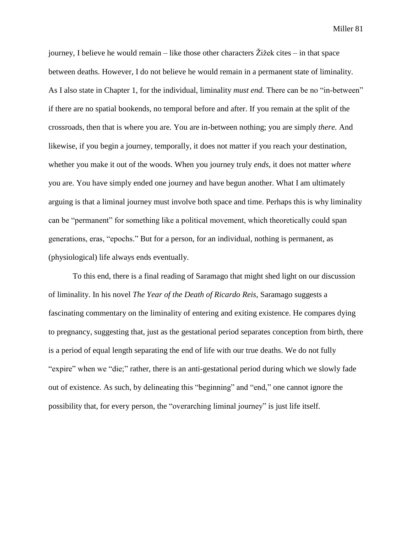journey. I believe he would remain – like those other characters  $\tilde{Z}$ ižek cites – in that space between deaths. However, I do not believe he would remain in a permanent state of liminality. As I also state in Chapter 1, for the individual, liminality *must end.* There can be no "in-between" if there are no spatial bookends, no temporal before and after. If you remain at the split of the crossroads, then that is where you are. You are in-between nothing; you are simply *there.* And likewise, if you begin a journey, temporally, it does not matter if you reach your destination, whether you make it out of the woods. When you journey truly *ends*, it does not matter *where* you are. You have simply ended one journey and have begun another. What I am ultimately arguing is that a liminal journey must involve both space and time. Perhaps this is why liminality can be "permanent" for something like a political movement, which theoretically could span generations, eras, "epochs." But for a person, for an individual, nothing is permanent, as (physiological) life always ends eventually.

To this end, there is a final reading of Saramago that might shed light on our discussion of liminality. In his novel *The Year of the Death of Ricardo Reis*, Saramago suggests a fascinating commentary on the liminality of entering and exiting existence. He compares dying to pregnancy, suggesting that, just as the gestational period separates conception from birth, there is a period of equal length separating the end of life with our true deaths. We do not fully "expire" when we "die;" rather, there is an anti-gestational period during which we slowly fade out of existence. As such, by delineating this "beginning" and "end," one cannot ignore the possibility that, for every person, the "overarching liminal journey" is just life itself.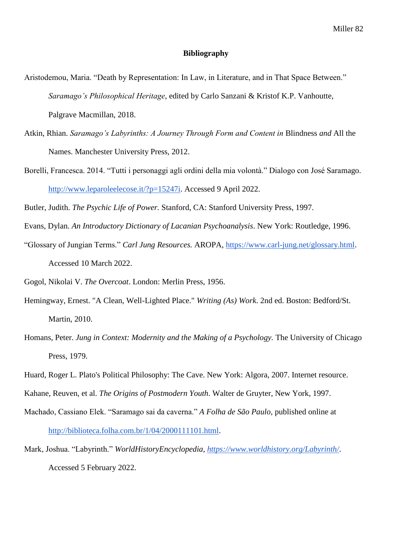## **Bibliography**

- Aristodemou, Maria. "Death by Representation: In Law, in Literature, and in That Space Between." *Saramago's Philosophical Heritage*, edited by Carlo Sanzani & Kristof K.P. Vanhoutte, Palgrave Macmillan, 2018.
- Atkin, Rhian. *Saramago's Labyrinths: A Journey Through Form and Content in* Blindness *and* All the Names. Manchester University Press, 2012.
- Borelli, Francesca. 2014. "Tutti i personaggi agli ordini della mia volontà." Dialogo con José Saramago. [http://www.leparoleelecose.it/?p=15247i.](http://www.leparoleelecose.it/?p=15247i) Accessed 9 April 2022.
- Butler, Judith. *The Psychic Life of Power.* Stanford, CA: Stanford University Press, 1997.
- Evans, Dylan. *An Introductory Dictionary of Lacanian Psychoanalysis*. New York: Routledge, 1996.
- "Glossary of Jungian Terms." *Carl Jung Resources.* AROPA, [https://www.carl-jung.net/glossary.html.](https://www.carl-jung.net/glossary.html) Accessed 10 March 2022.
- Gogol, Nikolai V. *The Overcoat*. London: Merlin Press, 1956.
- Hemingway, Ernest. "A Clean, Well-Lighted Place." *Writing (As) Work*. 2nd ed. Boston: Bedford/St. Martin, 2010.
- Homans, Peter. *Jung in Context: Modernity and the Making of a Psychology*. The University of Chicago Press, 1979.
- Huard, Roger L. Plato's Political Philosophy: The Cave. New York: Algora, 2007. Internet resource.
- Kahane, Reuven, et al. *The Origins of Postmodern Youth*. Walter de Gruyter, New York, 1997.
- Machado, Cassiano Elek. "Saramago sai da caverna." *A Folha de São Paulo*, published online at [http://biblioteca.folha.com.br/1/04/2000111101.html.](http://biblioteca.folha.com.br/1/04/2000111101.html)
- Mark, Joshua. "Labyrinth." *WorldHistoryEncyclopedia,<https://www.worldhistory.org/Labyrinth/>*. Accessed 5 February 2022.